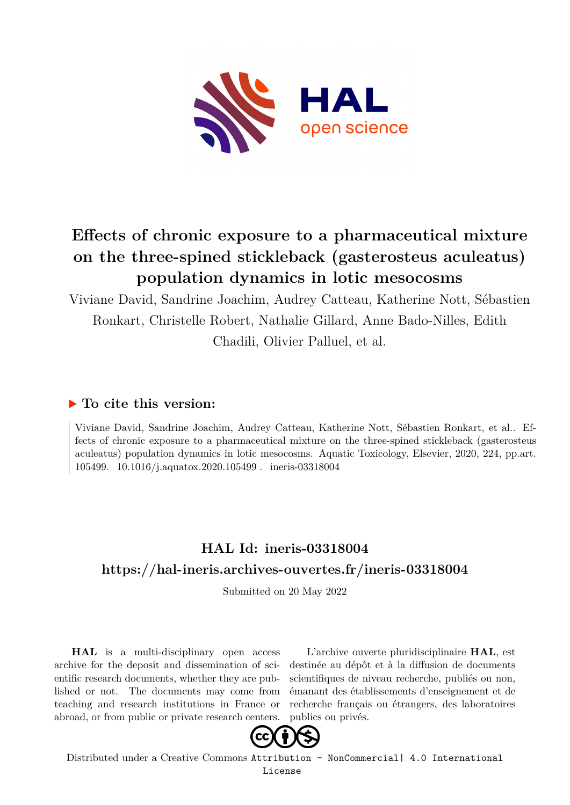

# **Effects of chronic exposure to a pharmaceutical mixture on the three-spined stickleback (gasterosteus aculeatus) population dynamics in lotic mesocosms**

Viviane David, Sandrine Joachim, Audrey Catteau, Katherine Nott, Sébastien Ronkart, Christelle Robert, Nathalie Gillard, Anne Bado-Nilles, Edith Chadili, Olivier Palluel, et al.

## **To cite this version:**

Viviane David, Sandrine Joachim, Audrey Catteau, Katherine Nott, Sébastien Ronkart, et al.. Effects of chronic exposure to a pharmaceutical mixture on the three-spined stickleback (gasterosteus aculeatus) population dynamics in lotic mesocosms. Aquatic Toxicology, Elsevier, 2020, 224, pp.art. 105499. 10.1016/j.aquatox.2020.105499. ineris-03318004

# **HAL Id: ineris-03318004 <https://hal-ineris.archives-ouvertes.fr/ineris-03318004>**

Submitted on 20 May 2022

**HAL** is a multi-disciplinary open access archive for the deposit and dissemination of scientific research documents, whether they are published or not. The documents may come from teaching and research institutions in France or abroad, or from public or private research centers.

L'archive ouverte pluridisciplinaire **HAL**, est destinée au dépôt et à la diffusion de documents scientifiques de niveau recherche, publiés ou non, émanant des établissements d'enseignement et de recherche français ou étrangers, des laboratoires publics ou privés.



Distributed under a Creative Commons [Attribution - NonCommercial| 4.0 International](http://creativecommons.org/licenses/by-nc/4.0/) [License](http://creativecommons.org/licenses/by-nc/4.0/)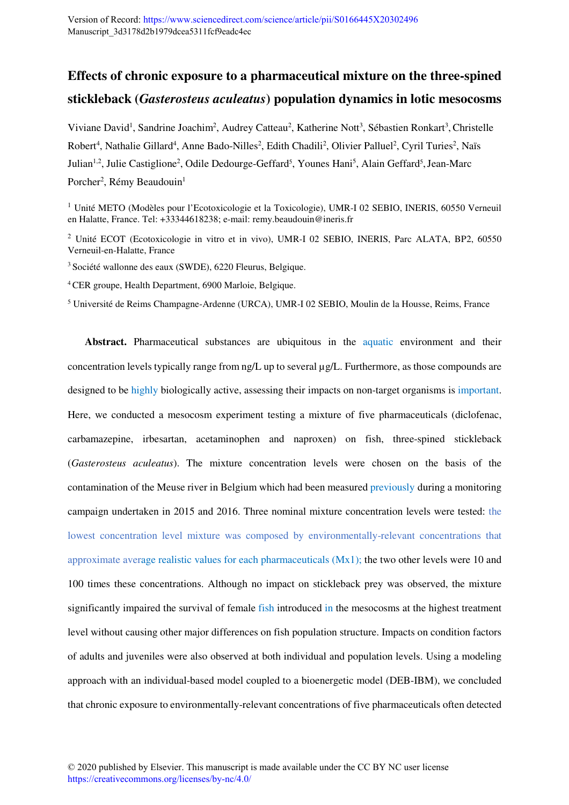# **Effects of chronic exposure to a pharmaceutical mixture on the three-spined stickleback (***Gasterosteus aculeatus***) population dynamics in lotic mesocosms**

Viviane David<sup>1</sup>, Sandrine Joachim<sup>2</sup>, Audrey Catteau<sup>2</sup>, Katherine Nott<sup>3</sup>, Sébastien Ronkart<sup>3</sup>, Christelle Robert<sup>4</sup>, Nathalie Gillard<sup>4</sup>, Anne Bado-Nilles<sup>2</sup>, Edith Chadili<sup>2</sup>, Olivier Palluel<sup>2</sup>, Cyril Turies<sup>2</sup>, Naïs Julian<sup>1,2</sup>, Julie Castiglione<sup>2</sup>, Odile Dedourge-Geffard<sup>5</sup>, Younes Hani<sup>5</sup>, Alain Geffard<sup>5</sup>, Jean-Marc Porcher<sup>2</sup>, Rémy Beaudouin<sup>1</sup>

<sup>1</sup> Unité METO (Modèles pour l'Ecotoxicologie et la Toxicologie), UMR-I 02 SEBIO, INERIS, 60550 Verneuil en Halatte, France. Tel: +33344618238; e-mail: remy.beaudouin@ineris.fr

<sup>2</sup> Unité ECOT (Ecotoxicologie in vitro et in vivo), UMR-I 02 SEBIO, INERIS, Parc ALATA, BP2, 60550 Verneuil-en-Halatte, France

<sup>3</sup>Société wallonne des eaux (SWDE), 6220 Fleurus, Belgique.

<sup>4</sup>CER groupe, Health Department, 6900 Marloie, Belgique.

5 Université de Reims Champagne-Ardenne (URCA), UMR-I 02 SEBIO, Moulin de la Housse, Reims, France

**Abstract.** Pharmaceutical substances are ubiquitous in the aquatic environment and their concentration levels typically range from ng/L up to several µg/L. Furthermore, as those compounds are designed to be highly biologically active, assessing their impacts on non-target organisms is important. Here, we conducted a mesocosm experiment testing a mixture of five pharmaceuticals (diclofenac, carbamazepine, irbesartan, acetaminophen and naproxen) on fish, three-spined stickleback (*Gasterosteus aculeatus*). The mixture concentration levels were chosen on the basis of the contamination of the Meuse river in Belgium which had been measured previously during a monitoring campaign undertaken in 2015 and 2016. Three nominal mixture concentration levels were tested: the lowest concentration level mixture was composed by environmentally-relevant concentrations that approximate average realistic values for each pharmaceuticals  $(Mx1)$ ; the two other levels were 10 and 100 times these concentrations. Although no impact on stickleback prey was observed, the mixture significantly impaired the survival of female fish introduced in the mesocosms at the highest treatment level without causing other major differences on fish population structure. Impacts on condition factors of adults and juveniles were also observed at both individual and population levels. Using a modeling approach with an individual-based model coupled to a bioenergetic model (DEB-IBM), we concluded that chronic exposure to environmentally-relevant concentrations of five pharmaceuticals often detected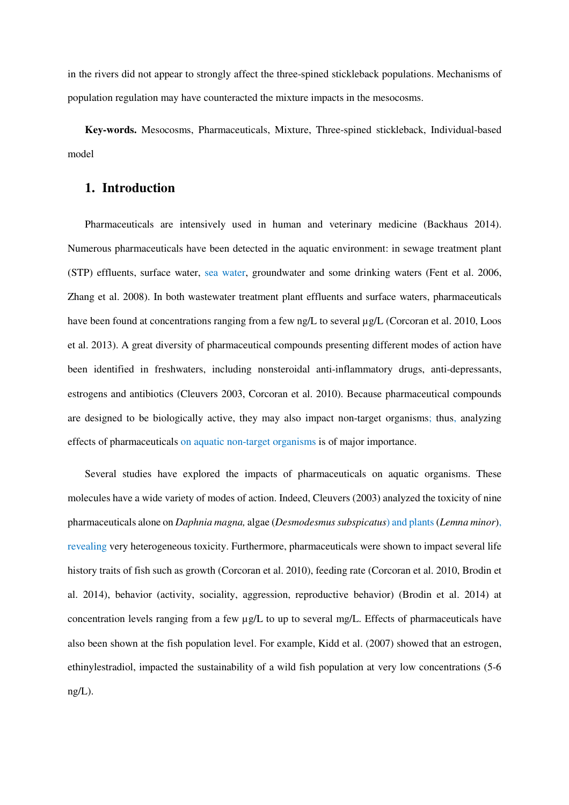in the rivers did not appear to strongly affect the three-spined stickleback populations. Mechanisms of population regulation may have counteracted the mixture impacts in the mesocosms.

**Key-words.** Mesocosms, Pharmaceuticals, Mixture, Three-spined stickleback, Individual-based model

## **1. Introduction**

Pharmaceuticals are intensively used in human and veterinary medicine (Backhaus 2014). Numerous pharmaceuticals have been detected in the aquatic environment: in sewage treatment plant (STP) effluents, surface water, sea water, groundwater and some drinking waters (Fent et al. 2006, Zhang et al. 2008). In both wastewater treatment plant effluents and surface waters, pharmaceuticals have been found at concentrations ranging from a few ng/L to several  $\mu$ g/L (Corcoran et al. 2010, Loos et al. 2013). A great diversity of pharmaceutical compounds presenting different modes of action have been identified in freshwaters, including nonsteroidal anti-inflammatory drugs, anti-depressants, estrogens and antibiotics (Cleuvers 2003, Corcoran et al. 2010). Because pharmaceutical compounds are designed to be biologically active, they may also impact non-target organisms; thus, analyzing effects of pharmaceuticals on aquatic non-target organisms is of major importance.

Several studies have explored the impacts of pharmaceuticals on aquatic organisms. These molecules have a wide variety of modes of action. Indeed, Cleuvers (2003) analyzed the toxicity of nine pharmaceuticals alone on *Daphnia magna,* algae (*Desmodesmus subspicatus*) and plants (*Lemna minor*), revealing very heterogeneous toxicity. Furthermore, pharmaceuticals were shown to impact several life history traits of fish such as growth (Corcoran et al. 2010), feeding rate (Corcoran et al. 2010, Brodin et al. 2014), behavior (activity, sociality, aggression, reproductive behavior) (Brodin et al. 2014) at concentration levels ranging from a few  $\mu$ g/L to up to several mg/L. Effects of pharmaceuticals have also been shown at the fish population level. For example, Kidd et al. (2007) showed that an estrogen, ethinylestradiol, impacted the sustainability of a wild fish population at very low concentrations (5-6  $ng/L$ ).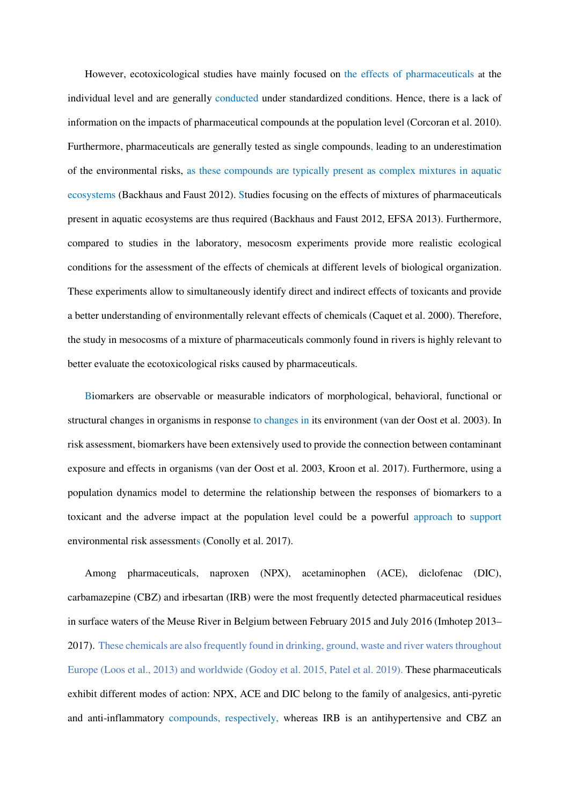However, ecotoxicological studies have mainly focused on the effects of pharmaceuticals at the individual level and are generally conducted under standardized conditions. Hence, there is a lack of information on the impacts of pharmaceutical compounds at the population level (Corcoran et al. 2010). Furthermore, pharmaceuticals are generally tested as single compounds, leading to an underestimation of the environmental risks, as these compounds are typically present as complex mixtures in aquatic ecosystems (Backhaus and Faust 2012). Studies focusing on the effects of mixtures of pharmaceuticals present in aquatic ecosystems are thus required (Backhaus and Faust 2012, EFSA 2013). Furthermore, compared to studies in the laboratory, mesocosm experiments provide more realistic ecological conditions for the assessment of the effects of chemicals at different levels of biological organization. These experiments allow to simultaneously identify direct and indirect effects of toxicants and provide a better understanding of environmentally relevant effects of chemicals (Caquet et al. 2000). Therefore, the study in mesocosms of a mixture of pharmaceuticals commonly found in rivers is highly relevant to better evaluate the ecotoxicological risks caused by pharmaceuticals.

Biomarkers are observable or measurable indicators of morphological, behavioral, functional or structural changes in organisms in response to changes in its environment (van der Oost et al. 2003). In risk assessment, biomarkers have been extensively used to provide the connection between contaminant exposure and effects in organisms (van der Oost et al. 2003, Kroon et al. 2017). Furthermore, using a population dynamics model to determine the relationship between the responses of biomarkers to a toxicant and the adverse impact at the population level could be a powerful approach to support environmental risk assessments (Conolly et al. 2017).

Among pharmaceuticals, naproxen (NPX), acetaminophen (ACE), diclofenac (DIC), carbamazepine (CBZ) and irbesartan (IRB) were the most frequently detected pharmaceutical residues in surface waters of the Meuse River in Belgium between February 2015 and July 2016 (Imhotep 2013– 2017). These chemicals are also frequently found in drinking, ground, waste and river waters throughout Europe (Loos et al., 2013) and worldwide (Godoy et al. 2015, Patel et al. 2019). These pharmaceuticals exhibit different modes of action: NPX, ACE and DIC belong to the family of analgesics, anti-pyretic and anti-inflammatory compounds, respectively, whereas IRB is an antihypertensive and CBZ an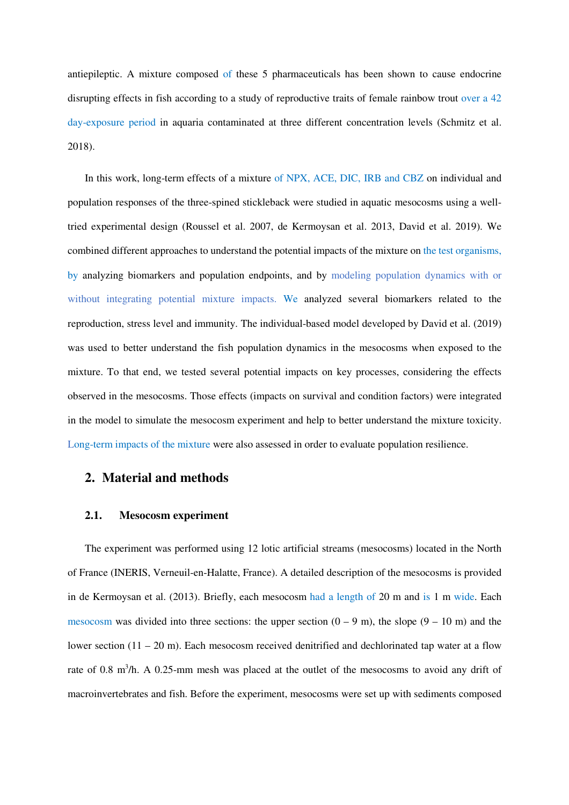antiepileptic. A mixture composed of these 5 pharmaceuticals has been shown to cause endocrine disrupting effects in fish according to a study of reproductive traits of female rainbow trout over a 42 day-exposure period in aquaria contaminated at three different concentration levels (Schmitz et al. 2018).

In this work, long-term effects of a mixture of NPX, ACE, DIC, IRB and CBZ on individual and population responses of the three-spined stickleback were studied in aquatic mesocosms using a welltried experimental design (Roussel et al. 2007, de Kermoysan et al. 2013, David et al. 2019). We combined different approaches to understand the potential impacts of the mixture on the test organisms, by analyzing biomarkers and population endpoints, and by modeling population dynamics with or without integrating potential mixture impacts. We analyzed several biomarkers related to the reproduction, stress level and immunity. The individual-based model developed by David et al. (2019) was used to better understand the fish population dynamics in the mesocosms when exposed to the mixture. To that end, we tested several potential impacts on key processes, considering the effects observed in the mesocosms. Those effects (impacts on survival and condition factors) were integrated in the model to simulate the mesocosm experiment and help to better understand the mixture toxicity. Long-term impacts of the mixture were also assessed in order to evaluate population resilience.

## **2. Material and methods**

#### **2.1. Mesocosm experiment**

The experiment was performed using 12 lotic artificial streams (mesocosms) located in the North of France (INERIS, Verneuil-en-Halatte, France). A detailed description of the mesocosms is provided in de Kermoysan et al. (2013). Briefly, each mesocosm had a length of 20 m and is 1 m wide. Each mesocosm was divided into three sections: the upper section  $(0 - 9)$  m), the slope  $(9 - 10)$  m and the lower section  $(11 - 20 \text{ m})$ . Each mesocosm received denitrified and dechlorinated tap water at a flow rate of 0.8 m<sup>3</sup>/h. A 0.25-mm mesh was placed at the outlet of the mesocosms to avoid any drift of macroinvertebrates and fish. Before the experiment, mesocosms were set up with sediments composed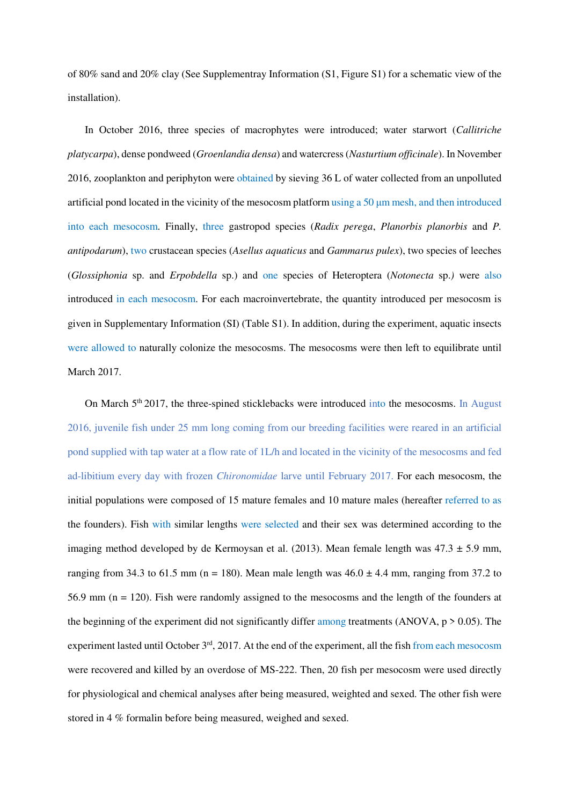of 80% sand and 20% clay (See Supplementray Information (S1, Figure S1) for a schematic view of the installation).

In October 2016, three species of macrophytes were introduced; water starwort (*Callitriche platycarpa*), dense pondweed (*Groenlandia densa*) and watercress (*Nasturtium officinale*). In November 2016, zooplankton and periphyton were obtained by sieving 36 L of water collected from an unpolluted artificial pond located in the vicinity of the mesocosm platform using a 50 μm mesh, and then introduced into each mesocosm. Finally, three gastropod species (*Radix perega*, *Planorbis planorbis* and *P. antipodarum*), two crustacean species (*Asellus aquaticus* and *Gammarus pulex*), two species of leeches (*Glossiphonia* sp. and *Erpobdella* sp.) and one species of Heteroptera (*Notonecta* sp.*)* were also introduced in each mesocosm. For each macroinvertebrate, the quantity introduced per mesocosm is given in Supplementary Information (SI) (Table S1). In addition, during the experiment, aquatic insects were allowed to naturally colonize the mesocosms. The mesocosms were then left to equilibrate until March 2017.

On March  $5<sup>th</sup> 2017$ , the three-spined sticklebacks were introduced into the mesocosms. In August 2016, juvenile fish under 25 mm long coming from our breeding facilities were reared in an artificial pond supplied with tap water at a flow rate of 1L/h and located in the vicinity of the mesocosms and fed ad-libitium every day with frozen *Chironomidae* larve until February 2017. For each mesocosm, the initial populations were composed of 15 mature females and 10 mature males (hereafter referred to as the founders). Fish with similar lengths were selected and their sex was determined according to the imaging method developed by de Kermoysan et al. (2013). Mean female length was  $47.3 \pm 5.9$  mm, ranging from 34.3 to 61.5 mm (n = 180). Mean male length was  $46.0 \pm 4.4$  mm, ranging from 37.2 to 56.9 mm (n = 120). Fish were randomly assigned to the mesocosms and the length of the founders at the beginning of the experiment did not significantly differ among treatments (ANOVA,  $p > 0.05$ ). The experiment lasted until October 3<sup>rd</sup>, 2017. At the end of the experiment, all the fish from each mesocosm were recovered and killed by an overdose of MS-222. Then, 20 fish per mesocosm were used directly for physiological and chemical analyses after being measured, weighted and sexed. The other fish were stored in 4 % formalin before being measured, weighed and sexed.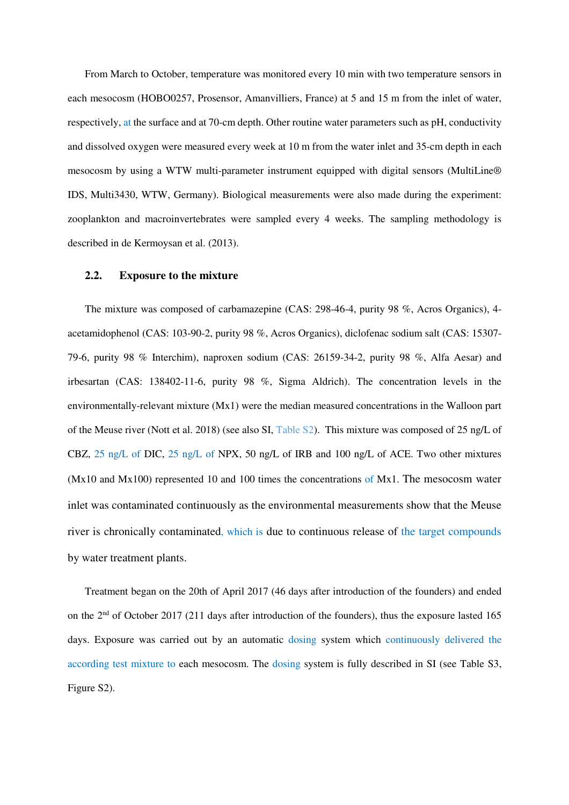From March to October, temperature was monitored every 10 min with two temperature sensors in each mesocosm (HOBO0257, Prosensor, Amanvilliers, France) at 5 and 15 m from the inlet of water, respectively, at the surface and at 70-cm depth. Other routine water parameters such as pH, conductivity and dissolved oxygen were measured every week at 10 m from the water inlet and 35-cm depth in each mesocosm by using a WTW multi-parameter instrument equipped with digital sensors (MultiLine® IDS, Multi3430, WTW, Germany). Biological measurements were also made during the experiment: zooplankton and macroinvertebrates were sampled every 4 weeks. The sampling methodology is described in de Kermoysan et al. (2013).

#### **2.2. Exposure to the mixture**

The mixture was composed of carbamazepine (CAS: 298-46-4, purity 98 %, Acros Organics), 4 acetamidophenol (CAS: 103-90-2, purity 98 %, Acros Organics), diclofenac sodium salt (CAS: 15307- 79-6, purity 98 % Interchim), naproxen sodium (CAS: 26159-34-2, purity 98 %, Alfa Aesar) and irbesartan (CAS: 138402-11-6, purity 98 %, Sigma Aldrich). The concentration levels in the environmentally-relevant mixture (Mx1) were the median measured concentrations in the Walloon part of the Meuse river (Nott et al. 2018) (see also SI, Table S2). This mixture was composed of 25 ng/L of CBZ, 25 ng/L of DIC, 25 ng/L of NPX, 50 ng/L of IRB and 100 ng/L of ACE. Two other mixtures (Mx10 and Mx100) represented 10 and 100 times the concentrations of Mx1. The mesocosm water inlet was contaminated continuously as the environmental measurements show that the Meuse river is chronically contaminated, which is due to continuous release of the target compounds by water treatment plants.

Treatment began on the 20th of April 2017 (46 days after introduction of the founders) and ended on the 2nd of October 2017 (211 days after introduction of the founders), thus the exposure lasted 165 days. Exposure was carried out by an automatic dosing system which continuously delivered the according test mixture to each mesocosm. The dosing system is fully described in SI (see Table S3, Figure S2).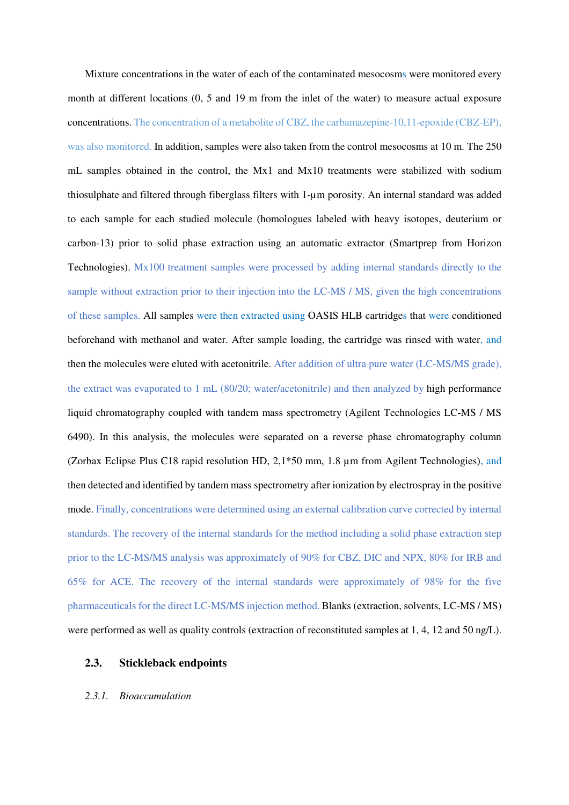Mixture concentrations in the water of each of the contaminated mesocosms were monitored every month at different locations  $(0, 5 \text{ and } 19 \text{ m}$  from the inlet of the water) to measure actual exposure concentrations. The concentration of a metabolite of CBZ, the carbamazepine-10,11-epoxide (CBZ-EP), was also monitored. In addition, samples were also taken from the control mesocosms at 10 m. The 250 mL samples obtained in the control, the Mx1 and Mx10 treatments were stabilized with sodium thiosulphate and filtered through fiberglass filters with 1-µm porosity. An internal standard was added to each sample for each studied molecule (homologues labeled with heavy isotopes, deuterium or carbon-13) prior to solid phase extraction using an automatic extractor (Smartprep from Horizon Technologies). Mx100 treatment samples were processed by adding internal standards directly to the sample without extraction prior to their injection into the LC-MS / MS, given the high concentrations of these samples. All samples were then extracted using OASIS HLB cartridges that were conditioned beforehand with methanol and water. After sample loading, the cartridge was rinsed with water, and then the molecules were eluted with acetonitrile. After addition of ultra pure water (LC-MS/MS grade), the extract was evaporated to 1 mL (80/20; water/acetonitrile) and then analyzed by high performance liquid chromatography coupled with tandem mass spectrometry (Agilent Technologies LC-MS / MS 6490). In this analysis, the molecules were separated on a reverse phase chromatography column (Zorbax Eclipse Plus C18 rapid resolution HD, 2,1\*50 mm, 1.8 µm from Agilent Technologies), and then detected and identified by tandem mass spectrometry after ionization by electrospray in the positive mode. Finally, concentrations were determined using an external calibration curve corrected by internal standards. The recovery of the internal standards for the method including a solid phase extraction step prior to the LC-MS/MS analysis was approximately of 90% for CBZ, DIC and NPX, 80% for IRB and 65% for ACE. The recovery of the internal standards were approximately of 98% for the five pharmaceuticals for the direct LC-MS/MS injection method. Blanks (extraction, solvents, LC-MS / MS) were performed as well as quality controls (extraction of reconstituted samples at 1, 4, 12 and 50 ng/L).

#### **2.3. Stickleback endpoints**

#### *2.3.1. Bioaccumulation*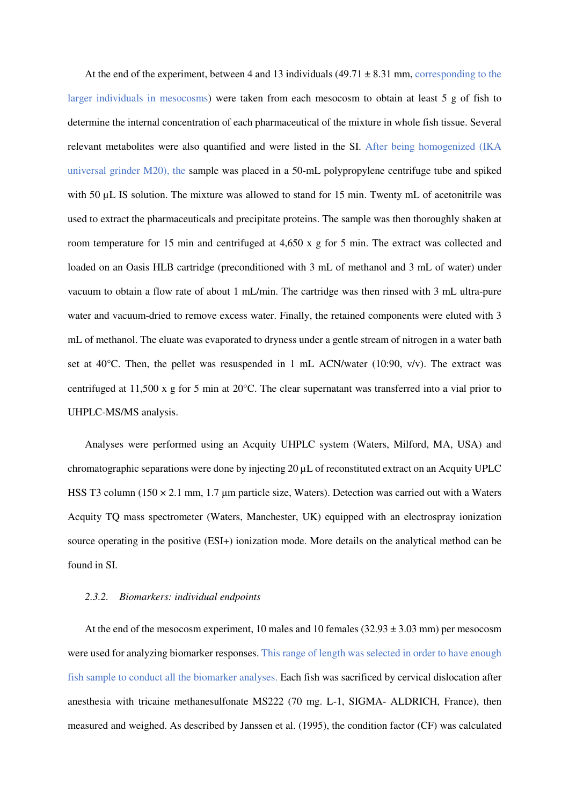At the end of the experiment, between 4 and 13 individuals  $(49.71 \pm 8.31$  mm, corresponding to the larger individuals in mesocosms) were taken from each mesocosm to obtain at least 5 g of fish to determine the internal concentration of each pharmaceutical of the mixture in whole fish tissue. Several relevant metabolites were also quantified and were listed in the SI. After being homogenized (IKA universal grinder M20), the sample was placed in a 50-mL polypropylene centrifuge tube and spiked with 50 µL IS solution. The mixture was allowed to stand for 15 min. Twenty mL of acetonitrile was used to extract the pharmaceuticals and precipitate proteins. The sample was then thoroughly shaken at room temperature for 15 min and centrifuged at 4,650 x g for 5 min. The extract was collected and loaded on an Oasis HLB cartridge (preconditioned with 3 mL of methanol and 3 mL of water) under vacuum to obtain a flow rate of about 1 mL/min. The cartridge was then rinsed with 3 mL ultra-pure water and vacuum-dried to remove excess water. Finally, the retained components were eluted with 3 mL of methanol. The eluate was evaporated to dryness under a gentle stream of nitrogen in a water bath set at 40 $\degree$ C. Then, the pellet was resuspended in 1 mL ACN/water (10:90, v/v). The extract was centrifuged at 11,500 x g for 5 min at 20°C. The clear supernatant was transferred into a vial prior to UHPLC-MS/MS analysis.

Analyses were performed using an Acquity UHPLC system (Waters, Milford, MA, USA) and chromatographic separations were done by injecting 20 µL of reconstituted extract on an Acquity UPLC HSS T3 column  $(150 \times 2.1 \text{ mm}, 1.7 \text{ µm}$  particle size, Waters). Detection was carried out with a Waters Acquity TQ mass spectrometer (Waters, Manchester, UK) equipped with an electrospray ionization source operating in the positive (ESI+) ionization mode. More details on the analytical method can be found in SI.

#### *2.3.2. Biomarkers: individual endpoints*

At the end of the mesocosm experiment, 10 males and 10 females  $(32.93 \pm 3.03 \text{ mm})$  per mesocosm were used for analyzing biomarker responses. This range of length was selected in order to have enough fish sample to conduct all the biomarker analyses. Each fish was sacrificed by cervical dislocation after anesthesia with tricaine methanesulfonate MS222 (70 mg. L-1, SIGMA- ALDRICH, France), then measured and weighed. As described by Janssen et al. (1995), the condition factor (CF) was calculated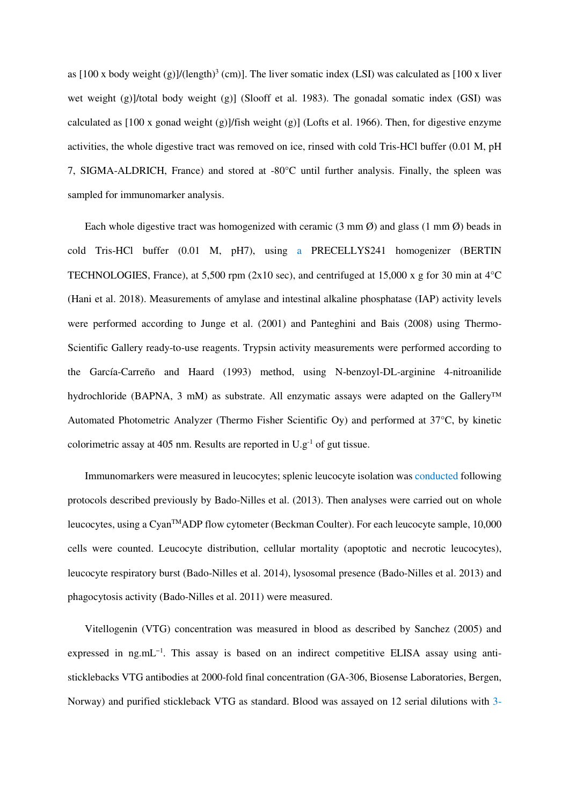as  $[100 \times$  body weight  $(g)$ ]/(length)<sup>3</sup> (cm)]. The liver somatic index (LSI) was calculated as  $[100 \times$  liver wet weight (g)]/total body weight (g)] (Slooff et al. 1983). The gonadal somatic index (GSI) was calculated as  $[100 \times \text{gonad weight (g)}]/\text{fish weight (g)}$  (Lofts et al. 1966). Then, for digestive enzyme activities, the whole digestive tract was removed on ice, rinsed with cold Tris-HCl buffer (0.01 M, pH 7, SIGMA-ALDRICH, France) and stored at -80°C until further analysis. Finally, the spleen was sampled for immunomarker analysis.

Each whole digestive tract was homogenized with ceramic  $(3 \text{ mm }\emptyset)$  and glass  $(1 \text{ mm }\emptyset)$  beads in cold Tris-HCl buffer (0.01 M, pH7), using a PRECELLYS241 homogenizer (BERTIN TECHNOLOGIES, France), at 5,500 rpm (2x10 sec), and centrifuged at 15,000 x g for 30 min at 4°C (Hani et al. 2018). Measurements of amylase and intestinal alkaline phosphatase (IAP) activity levels were performed according to Junge et al. (2001) and Panteghini and Bais (2008) using Thermo-Scientific Gallery ready-to-use reagents. Trypsin activity measurements were performed according to the García-Carreño and Haard (1993) method, using N-benzoyl-DL-arginine 4-nitroanilide hydrochloride (BAPNA, 3 mM) as substrate. All enzymatic assays were adapted on the Gallery™ Automated Photometric Analyzer (Thermo Fisher Scientific Oy) and performed at 37°C, by kinetic colorimetric assay at 405 nm. Results are reported in U.g-1 of gut tissue.

Immunomarkers were measured in leucocytes; splenic leucocyte isolation was conducted following protocols described previously by Bado-Nilles et al. (2013). Then analyses were carried out on whole leucocytes, using a CyanTMADP flow cytometer (Beckman Coulter). For each leucocyte sample, 10,000 cells were counted. Leucocyte distribution, cellular mortality (apoptotic and necrotic leucocytes), leucocyte respiratory burst (Bado-Nilles et al. 2014), lysosomal presence (Bado-Nilles et al. 2013) and phagocytosis activity (Bado-Nilles et al. 2011) were measured.

Vitellogenin (VTG) concentration was measured in blood as described by Sanchez (2005) and expressed in ng.mL<sup>-1</sup>. This assay is based on an indirect competitive ELISA assay using antisticklebacks VTG antibodies at 2000-fold final concentration (GA-306, Biosense Laboratories, Bergen, Norway) and purified stickleback VTG as standard. Blood was assayed on 12 serial dilutions with 3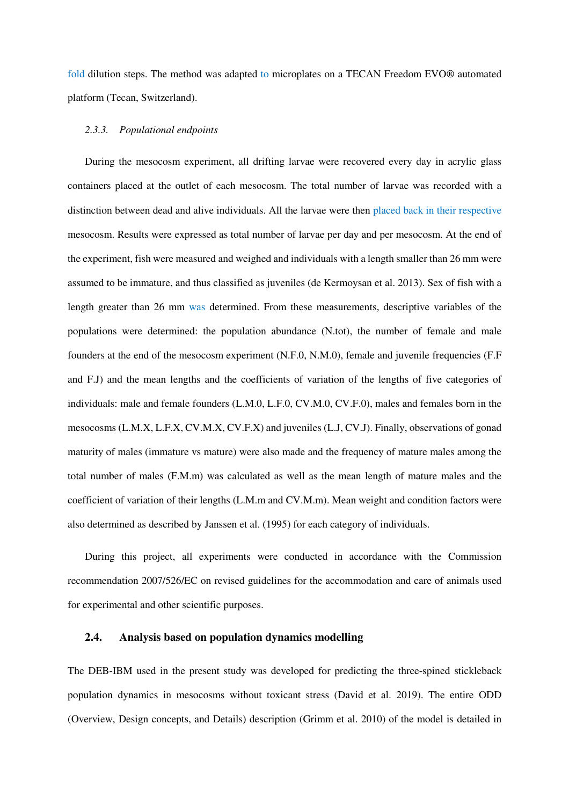fold dilution steps. The method was adapted to microplates on a TECAN Freedom EVO® automated platform (Tecan, Switzerland).

#### *2.3.3. Populational endpoints*

During the mesocosm experiment, all drifting larvae were recovered every day in acrylic glass containers placed at the outlet of each mesocosm. The total number of larvae was recorded with a distinction between dead and alive individuals. All the larvae were then placed back in their respective mesocosm. Results were expressed as total number of larvae per day and per mesocosm. At the end of the experiment, fish were measured and weighed and individuals with a length smaller than 26 mm were assumed to be immature, and thus classified as juveniles (de Kermoysan et al. 2013). Sex of fish with a length greater than 26 mm was determined. From these measurements, descriptive variables of the populations were determined: the population abundance (N.tot), the number of female and male founders at the end of the mesocosm experiment (N.F.0, N.M.0), female and juvenile frequencies (F.F and F.J) and the mean lengths and the coefficients of variation of the lengths of five categories of individuals: male and female founders (L.M.0, L.F.0, CV.M.0, CV.F.0), males and females born in the mesocosms (L.M.X, L.F.X, CV.M.X, CV.F.X) and juveniles (L.J, CV.J). Finally, observations of gonad maturity of males (immature vs mature) were also made and the frequency of mature males among the total number of males (F.M.m) was calculated as well as the mean length of mature males and the coefficient of variation of their lengths (L.M.m and CV.M.m). Mean weight and condition factors were also determined as described by Janssen et al. (1995) for each category of individuals.

During this project, all experiments were conducted in accordance with the Commission recommendation 2007/526/EC on revised guidelines for the accommodation and care of animals used for experimental and other scientific purposes.

## **2.4. Analysis based on population dynamics modelling**

The DEB-IBM used in the present study was developed for predicting the three-spined stickleback population dynamics in mesocosms without toxicant stress (David et al. 2019). The entire ODD (Overview, Design concepts, and Details) description (Grimm et al. 2010) of the model is detailed in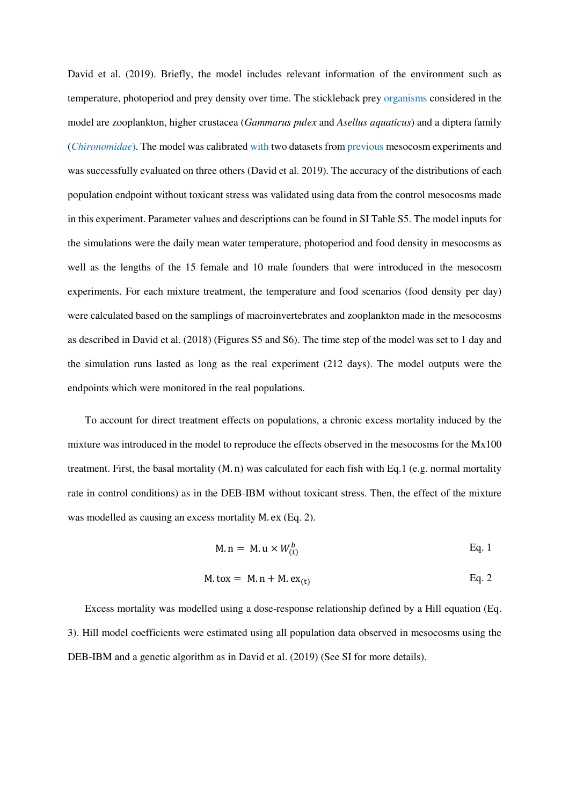David et al. (2019). Briefly, the model includes relevant information of the environment such as temperature, photoperiod and prey density over time. The stickleback prey organisms considered in the model are zooplankton, higher crustacea (*Gammarus pulex* and *Asellus aquaticus*) and a diptera family (*Chironomidae*). The model was calibrated with two datasets from previous mesocosm experiments and was successfully evaluated on three others (David et al. 2019). The accuracy of the distributions of each population endpoint without toxicant stress was validated using data from the control mesocosms made in this experiment. Parameter values and descriptions can be found in SI Table S5. The model inputs for the simulations were the daily mean water temperature, photoperiod and food density in mesocosms as well as the lengths of the 15 female and 10 male founders that were introduced in the mesocosm experiments. For each mixture treatment, the temperature and food scenarios (food density per day) were calculated based on the samplings of macroinvertebrates and zooplankton made in the mesocosms as described in David et al. (2018) (Figures S5 and S6). The time step of the model was set to 1 day and the simulation runs lasted as long as the real experiment (212 days). The model outputs were the endpoints which were monitored in the real populations.

To account for direct treatment effects on populations, a chronic excess mortality induced by the mixture was introduced in the model to reproduce the effects observed in the mesocosms for the Mx100 treatment. First, the basal mortality (M. n) was calculated for each fish with Eq.1 (e.g. normal mortality rate in control conditions) as in the DEB-IBM without toxicant stress. Then, the effect of the mixture was modelled as causing an excess mortality M. ex (Eq. 2).

$$
M.n = M.u \times W_{(t)}^b
$$
 Eq. 1

$$
M \cdot \text{to} x = M \cdot n + M \cdot \text{ex}_{(t)} \qquad \qquad Eq. 2
$$

Excess mortality was modelled using a dose-response relationship defined by a Hill equation (Eq. 3). Hill model coefficients were estimated using all population data observed in mesocosms using the DEB-IBM and a genetic algorithm as in David et al. (2019) (See SI for more details).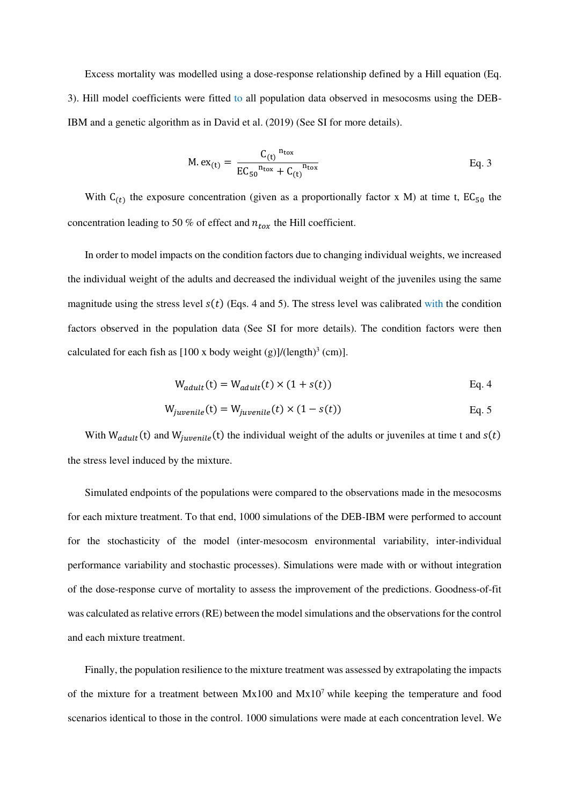Excess mortality was modelled using a dose-response relationship defined by a Hill equation (Eq. 3). Hill model coefficients were fitted to all population data observed in mesocosms using the DEB-IBM and a genetic algorithm as in David et al. (2019) (See SI for more details).

$$
M. ex_{(t)} = \frac{C_{(t)}^{n_{\text{to}x}}}{EC_{50}^{n_{\text{to}x}} + C_{(t)}^{n_{\text{to}x}}}
$$
 Eq. 3

With  $C_{(t)}$  the exposure concentration (given as a proportionally factor x M) at time t,  $EC_{50}$  the concentration leading to 50 % of effect and  $n_{tox}$  the Hill coefficient.

In order to model impacts on the condition factors due to changing individual weights, we increased the individual weight of the adults and decreased the individual weight of the juveniles using the same magnitude using the stress level  $s(t)$  (Eqs. 4 and 5). The stress level was calibrated with the condition factors observed in the population data (See SI for more details). The condition factors were then calculated for each fish as  $[100 \times body weight (g)]/(length)<sup>3</sup> (cm)].$ 

$$
W_{adult}(t) = W_{adult}(t) \times (1 + s(t))
$$
 Eq. 4

$$
W_{juvenile}(t) = W_{juvenile}(t) \times (1 - s(t))
$$
 Eq. 5

With  $W_{adult}(t)$  and  $W_{iuvenile}(t)$  the individual weight of the adults or juveniles at time t and  $s(t)$ the stress level induced by the mixture.

Simulated endpoints of the populations were compared to the observations made in the mesocosms for each mixture treatment. To that end, 1000 simulations of the DEB-IBM were performed to account for the stochasticity of the model (inter-mesocosm environmental variability, inter-individual performance variability and stochastic processes). Simulations were made with or without integration of the dose-response curve of mortality to assess the improvement of the predictions. Goodness-of-fit was calculated as relative errors (RE) between the model simulations and the observations for the control and each mixture treatment.

Finally, the population resilience to the mixture treatment was assessed by extrapolating the impacts of the mixture for a treatment between  $Mx100$  and  $Mx10<sup>7</sup>$  while keeping the temperature and food scenarios identical to those in the control. 1000 simulations were made at each concentration level. We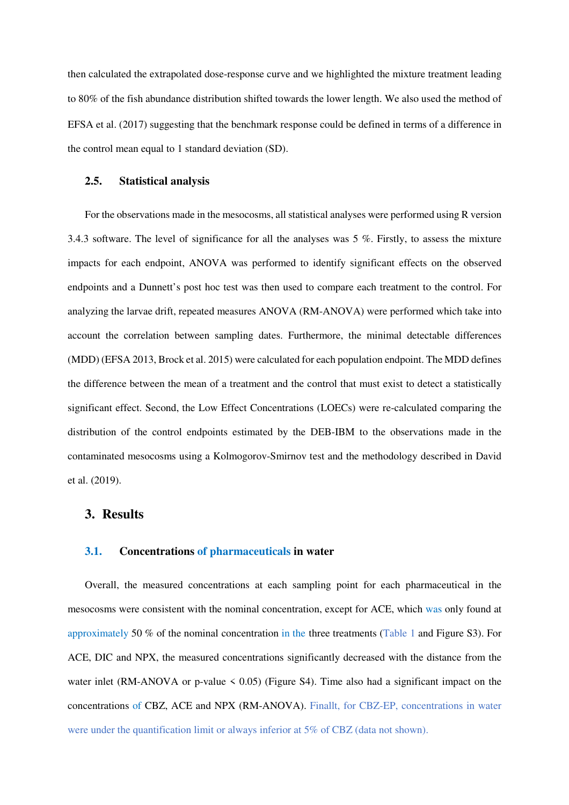then calculated the extrapolated dose-response curve and we highlighted the mixture treatment leading to 80% of the fish abundance distribution shifted towards the lower length. We also used the method of EFSA et al. (2017) suggesting that the benchmark response could be defined in terms of a difference in the control mean equal to 1 standard deviation (SD).

## **2.5. Statistical analysis**

For the observations made in the mesocosms, all statistical analyses were performed using R version 3.4.3 software. The level of significance for all the analyses was 5 %. Firstly, to assess the mixture impacts for each endpoint, ANOVA was performed to identify significant effects on the observed endpoints and a Dunnett's post hoc test was then used to compare each treatment to the control. For analyzing the larvae drift, repeated measures ANOVA (RM-ANOVA) were performed which take into account the correlation between sampling dates. Furthermore, the minimal detectable differences (MDD) (EFSA 2013, Brock et al. 2015) were calculated for each population endpoint. The MDD defines the difference between the mean of a treatment and the control that must exist to detect a statistically significant effect. Second, the Low Effect Concentrations (LOECs) were re-calculated comparing the distribution of the control endpoints estimated by the DEB-IBM to the observations made in the contaminated mesocosms using a Kolmogorov-Smirnov test and the methodology described in David et al. (2019).

## **3. Results**

#### **3.1. Concentrations of pharmaceuticals in water**

Overall, the measured concentrations at each sampling point for each pharmaceutical in the mesocosms were consistent with the nominal concentration, except for ACE, which was only found at approximately 50 % of the nominal concentration in the three treatments (Table 1 and Figure S3). For ACE, DIC and NPX, the measured concentrations significantly decreased with the distance from the water inlet (RM-ANOVA or p-value  $\leq 0.05$ ) (Figure S4). Time also had a significant impact on the concentrations of CBZ, ACE and NPX (RM-ANOVA). Finallt, for CBZ-EP, concentrations in water were under the quantification limit or always inferior at 5% of CBZ (data not shown).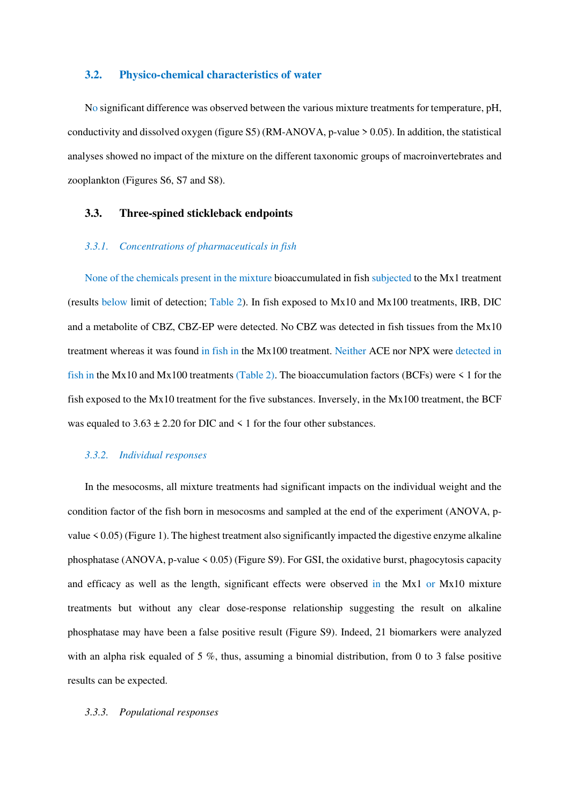#### **3.2. Physico-chemical characteristics of water**

No significant difference was observed between the various mixture treatments for temperature, pH, conductivity and dissolved oxygen (figure S5) (RM-ANOVA, p-value > 0.05). In addition, the statistical analyses showed no impact of the mixture on the different taxonomic groups of macroinvertebrates and zooplankton (Figures S6, S7 and S8).

#### **3.3. Three-spined stickleback endpoints**

#### *3.3.1. Concentrations of pharmaceuticals in fish*

None of the chemicals present in the mixture bioaccumulated in fish subjected to the Mx1 treatment (results below limit of detection; Table 2). In fish exposed to Mx10 and Mx100 treatments, IRB, DIC and a metabolite of CBZ, CBZ-EP were detected. No CBZ was detected in fish tissues from the Mx10 treatment whereas it was found in fish in the Mx100 treatment. Neither ACE nor NPX were detected in fish in the Mx10 and Mx100 treatments (Table 2). The bioaccumulation factors (BCFs) were  $\leq 1$  for the fish exposed to the Mx10 treatment for the five substances. Inversely, in the Mx100 treatment, the BCF was equaled to  $3.63 \pm 2.20$  for DIC and  $\leq 1$  for the four other substances.

#### *3.3.2. Individual responses*

In the mesocosms, all mixture treatments had significant impacts on the individual weight and the condition factor of the fish born in mesocosms and sampled at the end of the experiment (ANOVA, pvalue  $\leq$  0.05) (Figure 1). The highest treatment also significantly impacted the digestive enzyme alkaline phosphatase (ANOVA, p-value  $\leq 0.05$ ) (Figure S9). For GSI, the oxidative burst, phagocytosis capacity and efficacy as well as the length, significant effects were observed in the Mx1 or Mx10 mixture treatments but without any clear dose-response relationship suggesting the result on alkaline phosphatase may have been a false positive result (Figure S9). Indeed, 21 biomarkers were analyzed with an alpha risk equaled of 5 %, thus, assuming a binomial distribution, from 0 to 3 false positive results can be expected.

#### *3.3.3. Populational responses*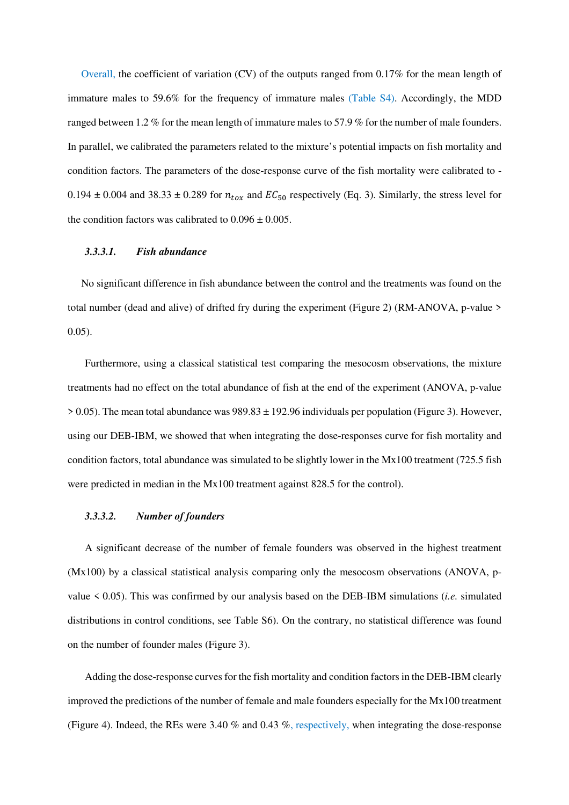Overall, the coefficient of variation (CV) of the outputs ranged from 0.17% for the mean length of immature males to 59.6% for the frequency of immature males (Table S4). Accordingly, the MDD ranged between 1.2 % for the mean length of immature males to 57.9 % for the number of male founders. In parallel, we calibrated the parameters related to the mixture's potential impacts on fish mortality and condition factors. The parameters of the dose-response curve of the fish mortality were calibrated to - 0.194  $\pm$  0.004 and 38.33  $\pm$  0.289 for  $n_{tox}$  and  $EC_{50}$  respectively (Eq. 3). Similarly, the stress level for the condition factors was calibrated to  $0.096 \pm 0.005$ .

#### *3.3.3.1. Fish abundance*

No significant difference in fish abundance between the control and the treatments was found on the total number (dead and alive) of drifted fry during the experiment (Figure 2) (RM-ANOVA, p-value > 0.05).

Furthermore, using a classical statistical test comparing the mesocosm observations, the mixture treatments had no effect on the total abundance of fish at the end of the experiment (ANOVA, p-value  $> 0.05$ ). The mean total abundance was  $989.83 \pm 192.96$  individuals per population (Figure 3). However, using our DEB-IBM, we showed that when integrating the dose-responses curve for fish mortality and condition factors, total abundance was simulated to be slightly lower in the Mx100 treatment (725.5 fish were predicted in median in the Mx100 treatment against 828.5 for the control).

#### *3.3.3.2. Number of founders*

A significant decrease of the number of female founders was observed in the highest treatment (Mx100) by a classical statistical analysis comparing only the mesocosm observations (ANOVA, pvalue < 0.05). This was confirmed by our analysis based on the DEB-IBM simulations (*i.e.* simulated distributions in control conditions, see Table S6). On the contrary, no statistical difference was found on the number of founder males (Figure 3).

Adding the dose-response curves for the fish mortality and condition factors in the DEB-IBM clearly improved the predictions of the number of female and male founders especially for the Mx100 treatment (Figure 4). Indeed, the REs were 3.40 % and 0.43 %, respectively, when integrating the dose-response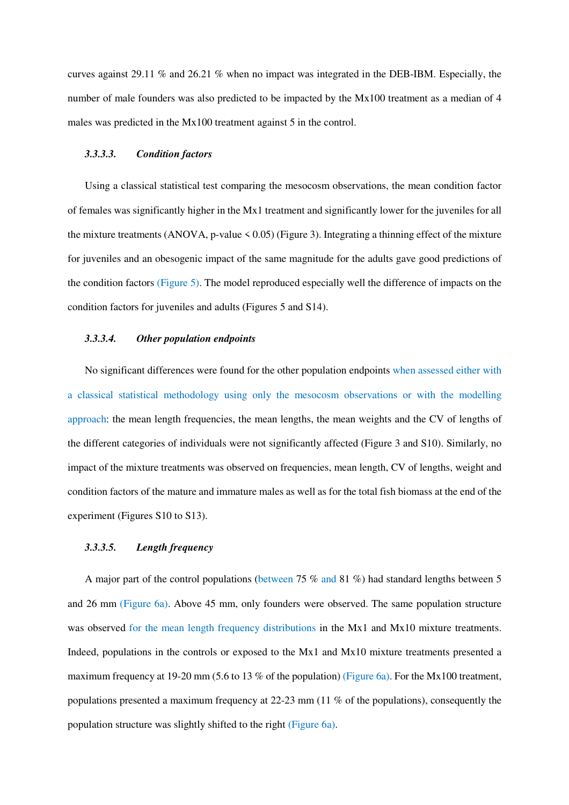curves against 29.11 % and 26.21 % when no impact was integrated in the DEB-IBM. Especially, the number of male founders was also predicted to be impacted by the Mx100 treatment as a median of 4 males was predicted in the Mx100 treatment against 5 in the control.

#### *3.3.3.3. Condition factors*

Using a classical statistical test comparing the mesocosm observations, the mean condition factor of females was significantly higher in the Mx1 treatment and significantly lower for the juveniles for all the mixture treatments (ANOVA, p-value  $\leq 0.05$ ) (Figure 3). Integrating a thinning effect of the mixture for juveniles and an obesogenic impact of the same magnitude for the adults gave good predictions of the condition factors (Figure 5). The model reproduced especially well the difference of impacts on the condition factors for juveniles and adults (Figures 5 and S14).

#### *3.3.3.4. Other population endpoints*

No significant differences were found for the other population endpoints when assessed either with a classical statistical methodology using only the mesocosm observations or with the modelling approach: the mean length frequencies, the mean lengths, the mean weights and the CV of lengths of the different categories of individuals were not significantly affected (Figure 3 and S10). Similarly, no impact of the mixture treatments was observed on frequencies, mean length, CV of lengths, weight and condition factors of the mature and immature males as well as for the total fish biomass at the end of the experiment (Figures S10 to S13).

#### *3.3.3.5. Length frequency*

A major part of the control populations (between 75 % and 81 %) had standard lengths between 5 and 26 mm (Figure 6a). Above 45 mm, only founders were observed. The same population structure was observed for the mean length frequency distributions in the Mx1 and Mx10 mixture treatments. Indeed, populations in the controls or exposed to the Mx1 and Mx10 mixture treatments presented a maximum frequency at 19-20 mm (5.6 to 13 % of the population) (Figure 6a). For the Mx100 treatment, populations presented a maximum frequency at 22-23 mm (11 % of the populations), consequently the population structure was slightly shifted to the right (Figure 6a).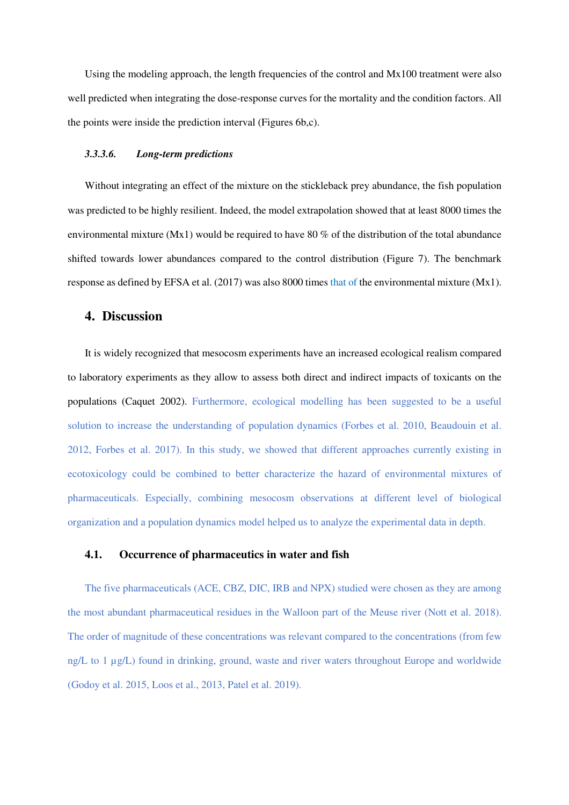Using the modeling approach, the length frequencies of the control and Mx100 treatment were also well predicted when integrating the dose-response curves for the mortality and the condition factors. All the points were inside the prediction interval (Figures 6b,c).

#### *3.3.3.6. Long-term predictions*

Without integrating an effect of the mixture on the stickleback prey abundance, the fish population was predicted to be highly resilient. Indeed, the model extrapolation showed that at least 8000 times the environmental mixture (Mx1) would be required to have 80 % of the distribution of the total abundance shifted towards lower abundances compared to the control distribution (Figure 7). The benchmark response as defined by EFSA et al. (2017) was also 8000 times that of the environmental mixture (Mx1).

## **4. Discussion**

It is widely recognized that mesocosm experiments have an increased ecological realism compared to laboratory experiments as they allow to assess both direct and indirect impacts of toxicants on the populations (Caquet 2002). Furthermore, ecological modelling has been suggested to be a useful solution to increase the understanding of population dynamics (Forbes et al. 2010, Beaudouin et al. 2012, Forbes et al. 2017). In this study, we showed that different approaches currently existing in ecotoxicology could be combined to better characterize the hazard of environmental mixtures of pharmaceuticals. Especially, combining mesocosm observations at different level of biological organization and a population dynamics model helped us to analyze the experimental data in depth.

## **4.1. Occurrence of pharmaceutics in water and fish**

The five pharmaceuticals (ACE, CBZ, DIC, IRB and NPX) studied were chosen as they are among the most abundant pharmaceutical residues in the Walloon part of the Meuse river (Nott et al. 2018). The order of magnitude of these concentrations was relevant compared to the concentrations (from few ng/L to 1 µg/L) found in drinking, ground, waste and river waters throughout Europe and worldwide (Godoy et al. 2015, Loos et al., 2013, Patel et al. 2019).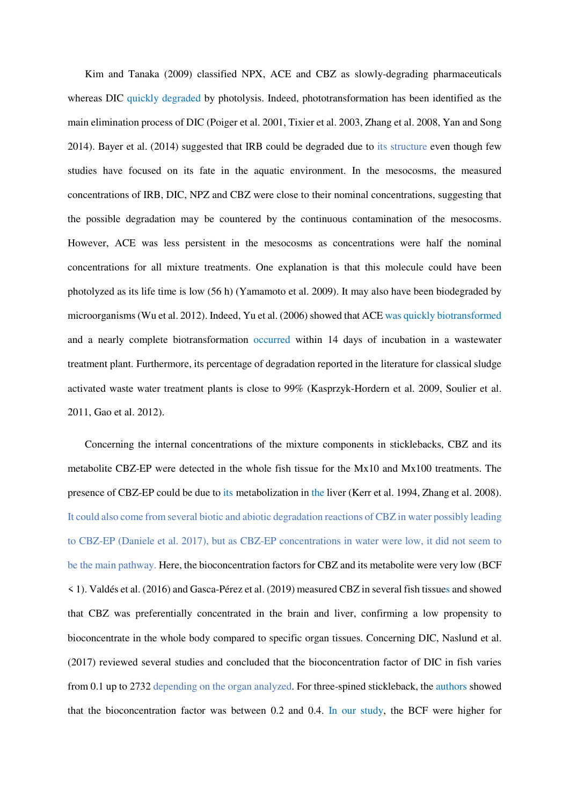Kim and Tanaka (2009) classified NPX, ACE and CBZ as slowly-degrading pharmaceuticals whereas DIC quickly degraded by photolysis. Indeed, phototransformation has been identified as the main elimination process of DIC (Poiger et al. 2001, Tixier et al. 2003, Zhang et al. 2008, Yan and Song 2014). Bayer et al. (2014) suggested that IRB could be degraded due to its structure even though few studies have focused on its fate in the aquatic environment. In the mesocosms, the measured concentrations of IRB, DIC, NPZ and CBZ were close to their nominal concentrations, suggesting that the possible degradation may be countered by the continuous contamination of the mesocosms. However, ACE was less persistent in the mesocosms as concentrations were half the nominal concentrations for all mixture treatments. One explanation is that this molecule could have been photolyzed as its life time is low (56 h) (Yamamoto et al. 2009). It may also have been biodegraded by microorganisms (Wu et al. 2012). Indeed, Yu et al. (2006) showed that ACE was quickly biotransformed and a nearly complete biotransformation occurred within 14 days of incubation in a wastewater treatment plant. Furthermore, its percentage of degradation reported in the literature for classical sludge activated waste water treatment plants is close to 99% (Kasprzyk-Hordern et al. 2009, Soulier et al. 2011, Gao et al. 2012).

Concerning the internal concentrations of the mixture components in sticklebacks, CBZ and its metabolite CBZ-EP were detected in the whole fish tissue for the Mx10 and Mx100 treatments. The presence of CBZ-EP could be due to its metabolization in the liver (Kerr et al. 1994, Zhang et al. 2008). It could also come from several biotic and abiotic degradation reactions of CBZ in water possibly leading to CBZ-EP (Daniele et al. 2017), but as CBZ-EP concentrations in water were low, it did not seem to be the main pathway. Here, the bioconcentration factors for CBZ and its metabolite were very low (BCF < 1). Valdés et al. (2016) and Gasca-Pérez et al. (2019) measured CBZ in several fish tissues and showed that CBZ was preferentially concentrated in the brain and liver, confirming a low propensity to bioconcentrate in the whole body compared to specific organ tissues. Concerning DIC, Naslund et al. (2017) reviewed several studies and concluded that the bioconcentration factor of DIC in fish varies from 0.1 up to 2732 depending on the organ analyzed. For three-spined stickleback, the authors showed that the bioconcentration factor was between 0.2 and 0.4. In our study, the BCF were higher for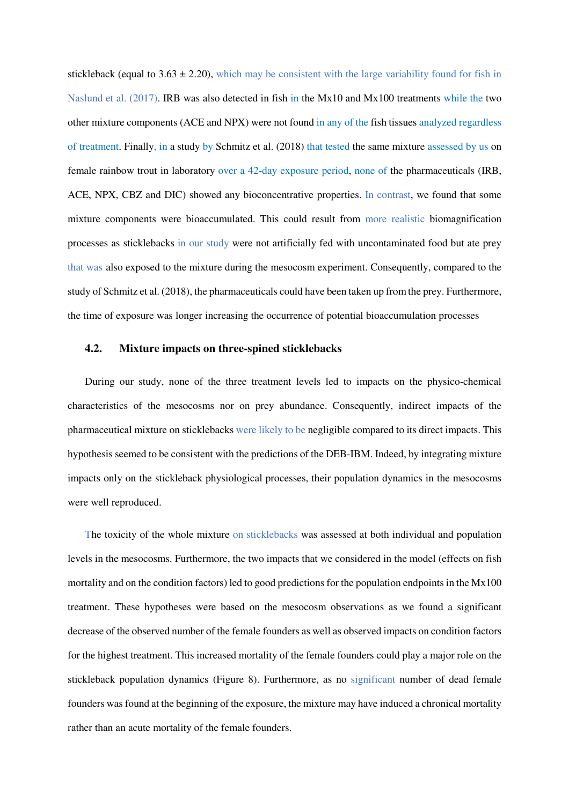stickleback (equal to  $3.63 \pm 2.20$ ), which may be consistent with the large variability found for fish in Naslund et al. (2017). IRB was also detected in fish in the Mx10 and Mx100 treatments while the two other mixture components (ACE and NPX) were not found in any of the fish tissues analyzed regardless of treatment. Finally, in a study by Schmitz et al. (2018) that tested the same mixture assessed by us on female rainbow trout in laboratory over a 42-day exposure period, none of the pharmaceuticals (IRB, ACE, NPX, CBZ and DIC) showed any bioconcentrative properties. In contrast, we found that some mixture components were bioaccumulated. This could result from more realistic biomagnification processes as sticklebacks in our study were not artificially fed with uncontaminated food but ate prey that was also exposed to the mixture during the mesocosm experiment. Consequently, compared to the study of Schmitz et al. (2018), the pharmaceuticals could have been taken up from the prey. Furthermore, the time of exposure was longer increasing the occurrence of potential bioaccumulation processes

#### **4.2. Mixture impacts on three-spined sticklebacks**

During our study, none of the three treatment levels led to impacts on the physico-chemical characteristics of the mesocosms nor on prey abundance. Consequently, indirect impacts of the pharmaceutical mixture on sticklebacks were likely to be negligible compared to its direct impacts. This hypothesis seemed to be consistent with the predictions of the DEB-IBM. Indeed, by integrating mixture impacts only on the stickleback physiological processes, their population dynamics in the mesocosms were well reproduced.

The toxicity of the whole mixture on sticklebacks was assessed at both individual and population levels in the mesocosms. Furthermore, the two impacts that we considered in the model (effects on fish mortality and on the condition factors) led to good predictions for the population endpoints in the Mx100 treatment. These hypotheses were based on the mesocosm observations as we found a significant decrease of the observed number of the female founders as well as observed impacts on condition factors for the highest treatment. This increased mortality of the female founders could play a major role on the stickleback population dynamics (Figure 8). Furthermore, as no significant number of dead female founders was found at the beginning of the exposure, the mixture may have induced a chronical mortality rather than an acute mortality of the female founders.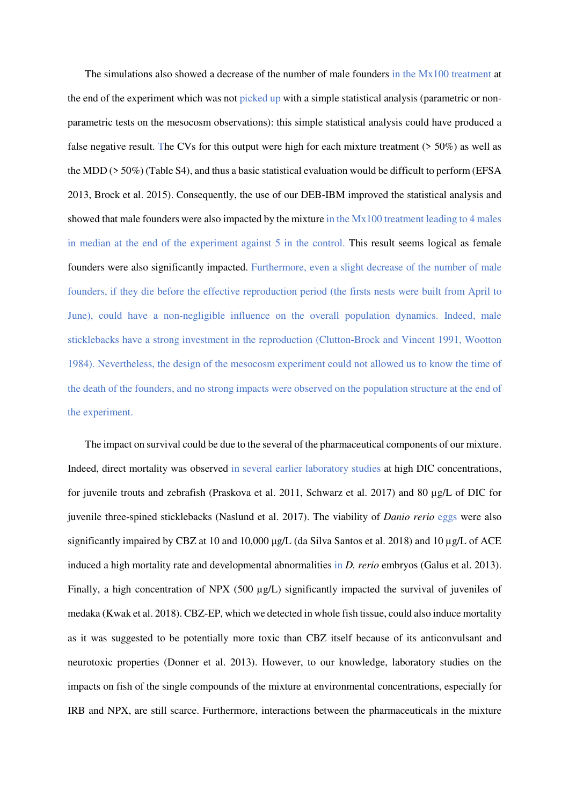The simulations also showed a decrease of the number of male founders in the Mx100 treatment at the end of the experiment which was not picked up with a simple statistical analysis (parametric or nonparametric tests on the mesocosm observations): this simple statistical analysis could have produced a false negative result. The CVs for this output were high for each mixture treatment (> 50%) as well as the MDD (> 50%) (Table S4), and thus a basic statistical evaluation would be difficult to perform (EFSA 2013, Brock et al. 2015). Consequently, the use of our DEB-IBM improved the statistical analysis and showed that male founders were also impacted by the mixture in the Mx100 treatment leading to 4 males in median at the end of the experiment against 5 in the control. This result seems logical as female founders were also significantly impacted. Furthermore, even a slight decrease of the number of male founders, if they die before the effective reproduction period (the firsts nests were built from April to June), could have a non-negligible influence on the overall population dynamics. Indeed, male sticklebacks have a strong investment in the reproduction (Clutton-Brock and Vincent 1991, Wootton 1984). Nevertheless, the design of the mesocosm experiment could not allowed us to know the time of the death of the founders, and no strong impacts were observed on the population structure at the end of the experiment.

The impact on survival could be due to the several of the pharmaceutical components of our mixture. Indeed, direct mortality was observed in several earlier laboratory studies at high DIC concentrations, for juvenile trouts and zebrafish (Praskova et al. 2011, Schwarz et al. 2017) and 80 µg/L of DIC for juvenile three-spined sticklebacks (Naslund et al. 2017). The viability of *Danio rerio* eggs were also significantly impaired by CBZ at 10 and 10,000 μg/L (da Silva Santos et al. 2018) and 10 µg/L of ACE induced a high mortality rate and developmental abnormalities in *D. rerio* embryos (Galus et al. 2013). Finally, a high concentration of NPX (500  $\mu$ g/L) significantly impacted the survival of juveniles of medaka (Kwak et al. 2018). CBZ-EP, which we detected in whole fish tissue, could also induce mortality as it was suggested to be potentially more toxic than CBZ itself because of its anticonvulsant and neurotoxic properties (Donner et al. 2013). However, to our knowledge, laboratory studies on the impacts on fish of the single compounds of the mixture at environmental concentrations, especially for IRB and NPX, are still scarce. Furthermore, interactions between the pharmaceuticals in the mixture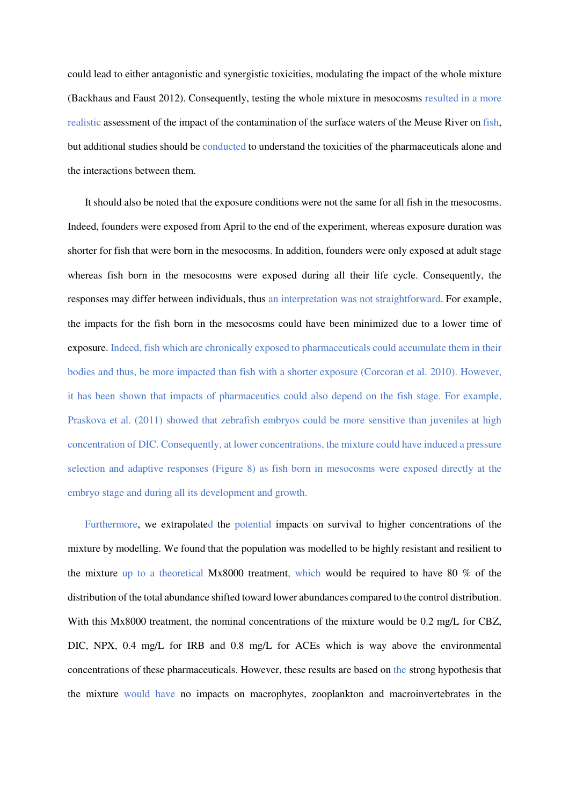could lead to either antagonistic and synergistic toxicities, modulating the impact of the whole mixture (Backhaus and Faust 2012). Consequently, testing the whole mixture in mesocosms resulted in a more realistic assessment of the impact of the contamination of the surface waters of the Meuse River on fish, but additional studies should be conducted to understand the toxicities of the pharmaceuticals alone and the interactions between them.

It should also be noted that the exposure conditions were not the same for all fish in the mesocosms. Indeed, founders were exposed from April to the end of the experiment, whereas exposure duration was shorter for fish that were born in the mesocosms. In addition, founders were only exposed at adult stage whereas fish born in the mesocosms were exposed during all their life cycle. Consequently, the responses may differ between individuals, thus an interpretation was not straightforward. For example, the impacts for the fish born in the mesocosms could have been minimized due to a lower time of exposure. Indeed, fish which are chronically exposed to pharmaceuticals could accumulate them in their bodies and thus, be more impacted than fish with a shorter exposure (Corcoran et al. 2010). However, it has been shown that impacts of pharmaceutics could also depend on the fish stage. For example, Praskova et al. (2011) showed that zebrafish embryos could be more sensitive than juveniles at high concentration of DIC. Consequently, at lower concentrations, the mixture could have induced a pressure selection and adaptive responses (Figure 8) as fish born in mesocosms were exposed directly at the embryo stage and during all its development and growth.

Furthermore, we extrapolated the potential impacts on survival to higher concentrations of the mixture by modelling. We found that the population was modelled to be highly resistant and resilient to the mixture up to a theoretical Mx8000 treatment, which would be required to have 80 % of the distribution of the total abundance shifted toward lower abundances compared to the control distribution. With this Mx8000 treatment, the nominal concentrations of the mixture would be 0.2 mg/L for CBZ, DIC, NPX, 0.4 mg/L for IRB and 0.8 mg/L for ACEs which is way above the environmental concentrations of these pharmaceuticals. However, these results are based on the strong hypothesis that the mixture would have no impacts on macrophytes, zooplankton and macroinvertebrates in the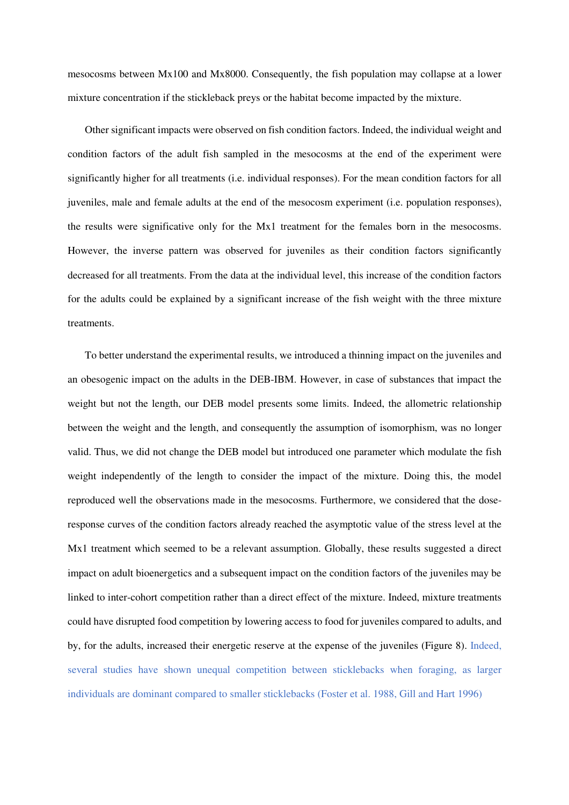mesocosms between Mx100 and Mx8000. Consequently, the fish population may collapse at a lower mixture concentration if the stickleback preys or the habitat become impacted by the mixture.

Other significant impacts were observed on fish condition factors. Indeed, the individual weight and condition factors of the adult fish sampled in the mesocosms at the end of the experiment were significantly higher for all treatments (i.e. individual responses). For the mean condition factors for all juveniles, male and female adults at the end of the mesocosm experiment (i.e. population responses), the results were significative only for the Mx1 treatment for the females born in the mesocosms. However, the inverse pattern was observed for juveniles as their condition factors significantly decreased for all treatments. From the data at the individual level, this increase of the condition factors for the adults could be explained by a significant increase of the fish weight with the three mixture treatments.

To better understand the experimental results, we introduced a thinning impact on the juveniles and an obesogenic impact on the adults in the DEB-IBM. However, in case of substances that impact the weight but not the length, our DEB model presents some limits. Indeed, the allometric relationship between the weight and the length, and consequently the assumption of isomorphism, was no longer valid. Thus, we did not change the DEB model but introduced one parameter which modulate the fish weight independently of the length to consider the impact of the mixture. Doing this, the model reproduced well the observations made in the mesocosms. Furthermore, we considered that the doseresponse curves of the condition factors already reached the asymptotic value of the stress level at the Mx1 treatment which seemed to be a relevant assumption. Globally, these results suggested a direct impact on adult bioenergetics and a subsequent impact on the condition factors of the juveniles may be linked to inter-cohort competition rather than a direct effect of the mixture. Indeed, mixture treatments could have disrupted food competition by lowering access to food for juveniles compared to adults, and by, for the adults, increased their energetic reserve at the expense of the juveniles (Figure 8). Indeed, several studies have shown unequal competition between sticklebacks when foraging, as larger individuals are dominant compared to smaller sticklebacks (Foster et al. 1988, Gill and Hart 1996)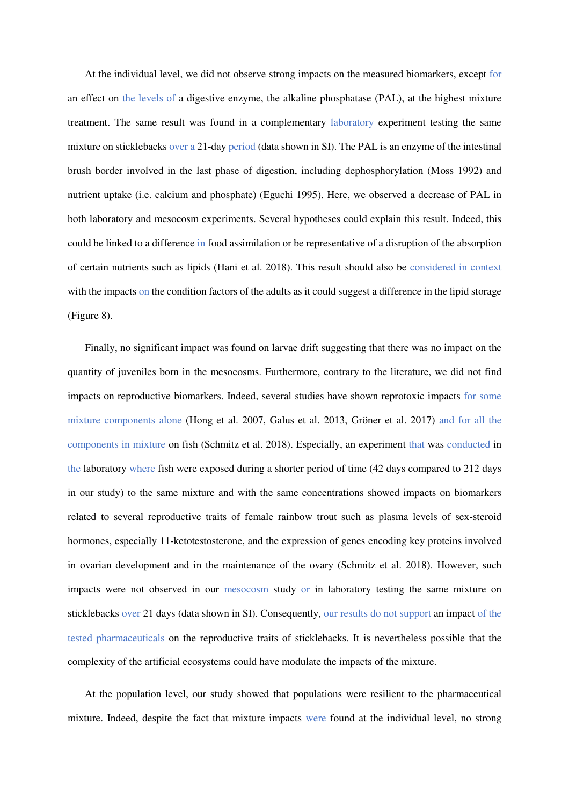At the individual level, we did not observe strong impacts on the measured biomarkers, except for an effect on the levels of a digestive enzyme, the alkaline phosphatase (PAL), at the highest mixture treatment. The same result was found in a complementary laboratory experiment testing the same mixture on sticklebacks over a 21-day period (data shown in SI). The PAL is an enzyme of the intestinal brush border involved in the last phase of digestion, including dephosphorylation (Moss 1992) and nutrient uptake (i.e. calcium and phosphate) (Eguchi 1995). Here, we observed a decrease of PAL in both laboratory and mesocosm experiments. Several hypotheses could explain this result. Indeed, this could be linked to a difference in food assimilation or be representative of a disruption of the absorption of certain nutrients such as lipids (Hani et al. 2018). This result should also be considered in context with the impacts on the condition factors of the adults as it could suggest a difference in the lipid storage (Figure 8).

Finally, no significant impact was found on larvae drift suggesting that there was no impact on the quantity of juveniles born in the mesocosms. Furthermore, contrary to the literature, we did not find impacts on reproductive biomarkers. Indeed, several studies have shown reprotoxic impacts for some mixture components alone (Hong et al. 2007, Galus et al. 2013, Gröner et al. 2017) and for all the components in mixture on fish (Schmitz et al. 2018). Especially, an experiment that was conducted in the laboratory where fish were exposed during a shorter period of time (42 days compared to 212 days in our study) to the same mixture and with the same concentrations showed impacts on biomarkers related to several reproductive traits of female rainbow trout such as plasma levels of sex-steroid hormones, especially 11-ketotestosterone, and the expression of genes encoding key proteins involved in ovarian development and in the maintenance of the ovary (Schmitz et al. 2018). However, such impacts were not observed in our mesocosm study or in laboratory testing the same mixture on sticklebacks over 21 days (data shown in SI). Consequently, our results do not support an impact of the tested pharmaceuticals on the reproductive traits of sticklebacks. It is nevertheless possible that the complexity of the artificial ecosystems could have modulate the impacts of the mixture.

At the population level, our study showed that populations were resilient to the pharmaceutical mixture. Indeed, despite the fact that mixture impacts were found at the individual level, no strong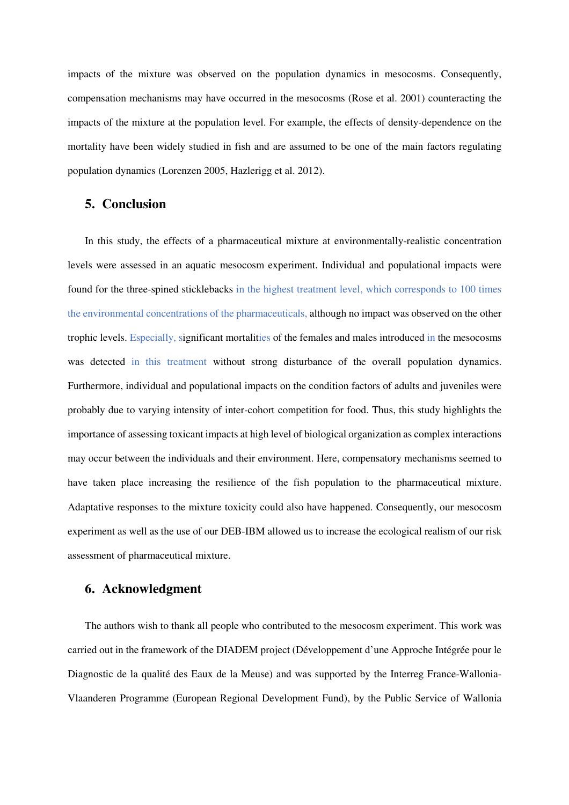impacts of the mixture was observed on the population dynamics in mesocosms. Consequently, compensation mechanisms may have occurred in the mesocosms (Rose et al. 2001) counteracting the impacts of the mixture at the population level. For example, the effects of density-dependence on the mortality have been widely studied in fish and are assumed to be one of the main factors regulating population dynamics (Lorenzen 2005, Hazlerigg et al. 2012).

## **5. Conclusion**

In this study, the effects of a pharmaceutical mixture at environmentally-realistic concentration levels were assessed in an aquatic mesocosm experiment. Individual and populational impacts were found for the three-spined sticklebacks in the highest treatment level, which corresponds to 100 times the environmental concentrations of the pharmaceuticals, although no impact was observed on the other trophic levels. Especially, significant mortalities of the females and males introduced in the mesocosms was detected in this treatment without strong disturbance of the overall population dynamics. Furthermore, individual and populational impacts on the condition factors of adults and juveniles were probably due to varying intensity of inter-cohort competition for food. Thus, this study highlights the importance of assessing toxicant impacts at high level of biological organization as complex interactions may occur between the individuals and their environment. Here, compensatory mechanisms seemed to have taken place increasing the resilience of the fish population to the pharmaceutical mixture. Adaptative responses to the mixture toxicity could also have happened. Consequently, our mesocosm experiment as well as the use of our DEB-IBM allowed us to increase the ecological realism of our risk assessment of pharmaceutical mixture.

## **6. Acknowledgment**

The authors wish to thank all people who contributed to the mesocosm experiment. This work was carried out in the framework of the DIADEM project (Développement d'une Approche Intégrée pour le Diagnostic de la qualité des Eaux de la Meuse) and was supported by the Interreg France-Wallonia-Vlaanderen Programme (European Regional Development Fund), by the Public Service of Wallonia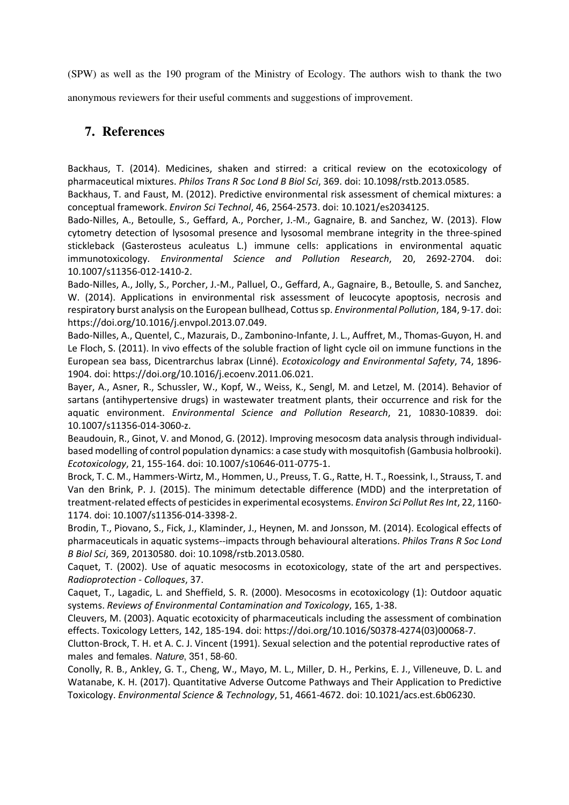(SPW) as well as the 190 program of the Ministry of Ecology. The authors wish to thank the two

anonymous reviewers for their useful comments and suggestions of improvement.

## **7. References**

Backhaus, T. (2014). Medicines, shaken and stirred: a critical review on the ecotoxicology of pharmaceutical mixtures. *Philos Trans R Soc Lond B Biol Sci*, 369. doi: 10.1098/rstb.2013.0585.

Backhaus, T. and Faust, M. (2012). Predictive environmental risk assessment of chemical mixtures: a conceptual framework. *Environ Sci Technol*, 46, 2564-2573. doi: 10.1021/es2034125.

Bado-Nilles, A., Betoulle, S., Geffard, A., Porcher, J.-M., Gagnaire, B. and Sanchez, W. (2013). Flow cytometry detection of lysosomal presence and lysosomal membrane integrity in the three-spined stickleback (Gasterosteus aculeatus L.) immune cells: applications in environmental aquatic immunotoxicology. *Environmental Science and Pollution Research*, 20, 2692-2704. doi: 10.1007/s11356-012-1410-2.

Bado-Nilles, A., Jolly, S., Porcher, J.-M., Palluel, O., Geffard, A., Gagnaire, B., Betoulle, S. and Sanchez, W. (2014). Applications in environmental risk assessment of leucocyte apoptosis, necrosis and respiratory burst analysis on the European bullhead, Cottus sp. *Environmental Pollution*, 184, 9-17. doi: https://doi.org/10.1016/j.envpol.2013.07.049.

Bado-Nilles, A., Quentel, C., Mazurais, D., Zambonino-Infante, J. L., Auffret, M., Thomas-Guyon, H. and Le Floch, S. (2011). In vivo effects of the soluble fraction of light cycle oil on immune functions in the European sea bass, Dicentrarchus labrax (Linné). *Ecotoxicology and Environmental Safety*, 74, 1896- 1904. doi: https://doi.org/10.1016/j.ecoenv.2011.06.021.

Bayer, A., Asner, R., Schussler, W., Kopf, W., Weiss, K., Sengl, M. and Letzel, M. (2014). Behavior of sartans (antihypertensive drugs) in wastewater treatment plants, their occurrence and risk for the aquatic environment. *Environmental Science and Pollution Research*, 21, 10830-10839. doi: 10.1007/s11356-014-3060-z.

Beaudouin, R., Ginot, V. and Monod, G. (2012). Improving mesocosm data analysis through individualbased modelling of control population dynamics: a case study with mosquitofish (Gambusia holbrooki). *Ecotoxicology*, 21, 155-164. doi: 10.1007/s10646-011-0775-1.

Brock, T. C. M., Hammers-Wirtz, M., Hommen, U., Preuss, T. G., Ratte, H. T., Roessink, I., Strauss, T. and Van den Brink, P. J. (2015). The minimum detectable difference (MDD) and the interpretation of treatment-related effects of pesticides in experimental ecosystems. *Environ Sci Pollut Res Int*, 22, 1160- 1174. doi: 10.1007/s11356-014-3398-2.

Brodin, T., Piovano, S., Fick, J., Klaminder, J., Heynen, M. and Jonsson, M. (2014). Ecological effects of pharmaceuticals in aquatic systems--impacts through behavioural alterations. *Philos Trans R Soc Lond B Biol Sci*, 369, 20130580. doi: 10.1098/rstb.2013.0580.

Caquet, T. (2002). Use of aquatic mesocosms in ecotoxicology, state of the art and perspectives. *Radioprotection - Colloques*, 37.

Caquet, T., Lagadic, L. and Sheffield, S. R. (2000). Mesocosms in ecotoxicology (1): Outdoor aquatic systems. *Reviews of Environmental Contamination and Toxicology*, 165, 1-38.

Cleuvers, M. (2003). Aquatic ecotoxicity of pharmaceuticals including the assessment of combination effects. Toxicology Letters, 142, 185-194. doi: https://doi.org/10.1016/S0378-4274(03)00068-7.

Clutton-Brock, T. H. et A. C. J. Vincent (1991). Sexual selection and the potential reproductive rates of males and females. Nature, 351, 58-60.

Conolly, R. B., Ankley, G. T., Cheng, W., Mayo, M. L., Miller, D. H., Perkins, E. J., Villeneuve, D. L. and Watanabe, K. H. (2017). Quantitative Adverse Outcome Pathways and Their Application to Predictive Toxicology. *Environmental Science & Technology*, 51, 4661-4672. doi: 10.1021/acs.est.6b06230.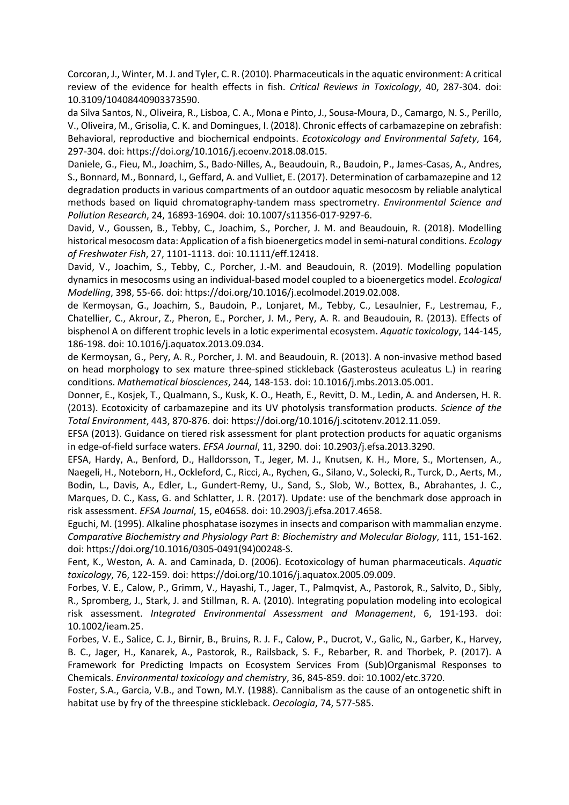Corcoran, J., Winter, M. J. and Tyler, C. R. (2010). Pharmaceuticals in the aquatic environment: A critical review of the evidence for health effects in fish. *Critical Reviews in Toxicology*, 40, 287-304. doi: 10.3109/10408440903373590.

da Silva Santos, N., Oliveira, R., Lisboa, C. A., Mona e Pinto, J., Sousa-Moura, D., Camargo, N. S., Perillo, V., Oliveira, M., Grisolia, C. K. and Domingues, I. (2018). Chronic effects of carbamazepine on zebrafish: Behavioral, reproductive and biochemical endpoints. *Ecotoxicology and Environmental Safety*, 164, 297-304. doi: https://doi.org/10.1016/j.ecoenv.2018.08.015.

Daniele, G., Fieu, M., Joachim, S., Bado-Nilles, A., Beaudouin, R., Baudoin, P., James-Casas, A., Andres, S., Bonnard, M., Bonnard, I., Geffard, A. and Vulliet, E. (2017). Determination of carbamazepine and 12 degradation products in various compartments of an outdoor aquatic mesocosm by reliable analytical methods based on liquid chromatography-tandem mass spectrometry. *Environmental Science and Pollution Research*, 24, 16893-16904. doi: 10.1007/s11356-017-9297-6.

David, V., Goussen, B., Tebby, C., Joachim, S., Porcher, J. M. and Beaudouin, R. (2018). Modelling historical mesocosm data: Application of a fish bioenergetics model in semi-natural conditions. *Ecology of Freshwater Fish*, 27, 1101-1113. doi: 10.1111/eff.12418.

David, V., Joachim, S., Tebby, C., Porcher, J.-M. and Beaudouin, R. (2019). Modelling population dynamics in mesocosms using an individual-based model coupled to a bioenergetics model. *Ecological Modelling*, 398, 55-66. doi: https://doi.org/10.1016/j.ecolmodel.2019.02.008.

de Kermoysan, G., Joachim, S., Baudoin, P., Lonjaret, M., Tebby, C., Lesaulnier, F., Lestremau, F., Chatellier, C., Akrour, Z., Pheron, E., Porcher, J. M., Pery, A. R. and Beaudouin, R. (2013). Effects of bisphenol A on different trophic levels in a lotic experimental ecosystem. *Aquatic toxicology*, 144-145, 186-198. doi: 10.1016/j.aquatox.2013.09.034.

de Kermoysan, G., Pery, A. R., Porcher, J. M. and Beaudouin, R. (2013). A non-invasive method based on head morphology to sex mature three-spined stickleback (Gasterosteus aculeatus L.) in rearing conditions. *Mathematical biosciences*, 244, 148-153. doi: 10.1016/j.mbs.2013.05.001.

Donner, E., Kosjek, T., Qualmann, S., Kusk, K. O., Heath, E., Revitt, D. M., Ledin, A. and Andersen, H. R. (2013). Ecotoxicity of carbamazepine and its UV photolysis transformation products. *Science of the Total Environment*, 443, 870-876. doi: https://doi.org/10.1016/j.scitotenv.2012.11.059.

EFSA (2013). Guidance on tiered risk assessment for plant protection products for aquatic organisms in edge-of-field surface waters. *EFSA Journal*, 11, 3290. doi: 10.2903/j.efsa.2013.3290.

EFSA, Hardy, A., Benford, D., Halldorsson, T., Jeger, M. J., Knutsen, K. H., More, S., Mortensen, A., Naegeli, H., Noteborn, H., Ockleford, C., Ricci, A., Rychen, G., Silano, V., Solecki, R., Turck, D., Aerts, M., Bodin, L., Davis, A., Edler, L., Gundert-Remy, U., Sand, S., Slob, W., Bottex, B., Abrahantes, J. C., Marques, D. C., Kass, G. and Schlatter, J. R. (2017). Update: use of the benchmark dose approach in risk assessment. *EFSA Journal*, 15, e04658. doi: 10.2903/j.efsa.2017.4658.

Eguchi, M. (1995). Alkaline phosphatase isozymes in insects and comparison with mammalian enzyme. *Comparative Biochemistry and Physiology Part B: Biochemistry and Molecular Biology*, 111, 151-162. doi: https://doi.org/10.1016/0305-0491(94)00248-S.

Fent, K., Weston, A. A. and Caminada, D. (2006). Ecotoxicology of human pharmaceuticals. *Aquatic toxicology*, 76, 122-159. doi: https://doi.org/10.1016/j.aquatox.2005.09.009.

Forbes, V. E., Calow, P., Grimm, V., Hayashi, T., Jager, T., Palmqvist, A., Pastorok, R., Salvito, D., Sibly, R., Spromberg, J., Stark, J. and Stillman, R. A. (2010). Integrating population modeling into ecological risk assessment. *Integrated Environmental Assessment and Management*, 6, 191-193. doi: 10.1002/ieam.25.

Forbes, V. E., Salice, C. J., Birnir, B., Bruins, R. J. F., Calow, P., Ducrot, V., Galic, N., Garber, K., Harvey, B. C., Jager, H., Kanarek, A., Pastorok, R., Railsback, S. F., Rebarber, R. and Thorbek, P. (2017). A Framework for Predicting Impacts on Ecosystem Services From (Sub)Organismal Responses to Chemicals. *Environmental toxicology and chemistry*, 36, 845-859. doi: 10.1002/etc.3720.

Foster, S.A., Garcia, V.B., and Town, M.Y. (1988). Cannibalism as the cause of an ontogenetic shift in habitat use by fry of the threespine stickleback. *Oecologia*, 74, 577-585.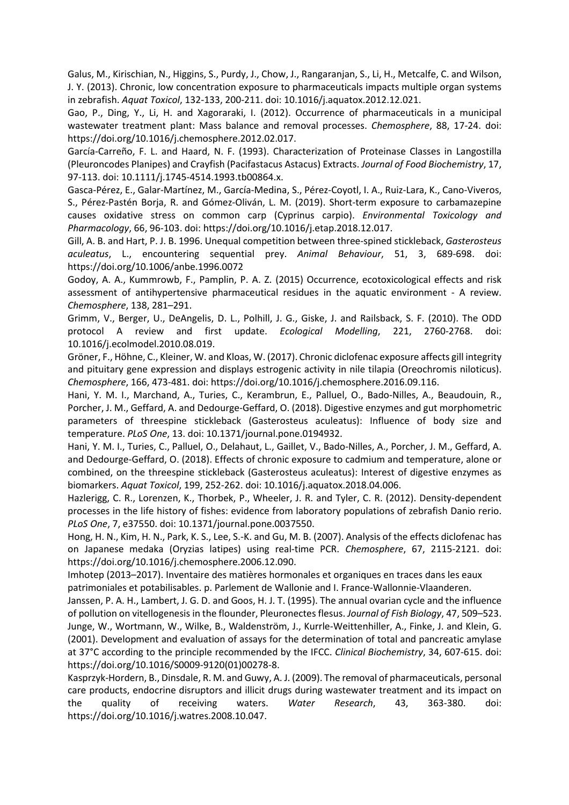Galus, M., Kirischian, N., Higgins, S., Purdy, J., Chow, J., Rangaranjan, S., Li, H., Metcalfe, C. and Wilson, J. Y. (2013). Chronic, low concentration exposure to pharmaceuticals impacts multiple organ systems in zebrafish. *Aquat Toxicol*, 132-133, 200-211. doi: 10.1016/j.aquatox.2012.12.021.

Gao, P., Ding, Y., Li, H. and Xagoraraki, I. (2012). Occurrence of pharmaceuticals in a municipal wastewater treatment plant: Mass balance and removal processes. *Chemosphere*, 88, 17-24. doi: https://doi.org/10.1016/j.chemosphere.2012.02.017.

García-Carreño, F. L. and Haard, N. F. (1993). Characterization of Proteinase Classes in Langostilla (Pleuroncodes Planipes) and Crayfish (Pacifastacus Astacus) Extracts. *Journal of Food Biochemistry*, 17, 97-113. doi: 10.1111/j.1745-4514.1993.tb00864.x.

Gasca-Pérez, E., Galar-Martínez, M., García-Medina, S., Pérez-Coyotl, I. A., Ruiz-Lara, K., Cano-Viveros, S., Pérez-Pastén Borja, R. and Gómez-Oliván, L. M. (2019). Short-term exposure to carbamazepine causes oxidative stress on common carp (Cyprinus carpio). *Environmental Toxicology and Pharmacology*, 66, 96-103. doi: https://doi.org/10.1016/j.etap.2018.12.017.

Gill, A. B. and Hart, P. J. B. 1996. Unequal competition between three-spined stickleback, *Gasterosteus aculeatus*, L., encountering sequential prey. *Animal Behaviour*, 51, 3, 689-698. doi: https://doi.org/10.1006/anbe.1996.0072

Godoy, A. A., Kummrowb, F., Pamplin, P. A. Z. (2015) Occurrence, ecotoxicological effects and risk assessment of antihypertensive pharmaceutical residues in the aquatic environment - A review. *Chemosphere*, 138, 281–291.

Grimm, V., Berger, U., DeAngelis, D. L., Polhill, J. G., Giske, J. and Railsback, S. F. (2010). The ODD protocol A review and first update. *Ecological Modelling*, 221, 2760-2768. doi: 10.1016/j.ecolmodel.2010.08.019.

Gröner, F., Höhne, C., Kleiner, W. and Kloas, W. (2017). Chronic diclofenac exposure affects gill integrity and pituitary gene expression and displays estrogenic activity in nile tilapia (Oreochromis niloticus). *Chemosphere*, 166, 473-481. doi: https://doi.org/10.1016/j.chemosphere.2016.09.116.

Hani, Y. M. I., Marchand, A., Turies, C., Kerambrun, E., Palluel, O., Bado-Nilles, A., Beaudouin, R., Porcher, J. M., Geffard, A. and Dedourge-Geffard, O. (2018). Digestive enzymes and gut morphometric parameters of threespine stickleback (Gasterosteus aculeatus): Influence of body size and temperature. *PLoS One*, 13. doi: 10.1371/journal.pone.0194932.

Hani, Y. M. I., Turies, C., Palluel, O., Delahaut, L., Gaillet, V., Bado-Nilles, A., Porcher, J. M., Geffard, A. and Dedourge-Geffard, O. (2018). Effects of chronic exposure to cadmium and temperature, alone or combined, on the threespine stickleback (Gasterosteus aculeatus): Interest of digestive enzymes as biomarkers. *Aquat Toxicol*, 199, 252-262. doi: 10.1016/j.aquatox.2018.04.006.

Hazlerigg, C. R., Lorenzen, K., Thorbek, P., Wheeler, J. R. and Tyler, C. R. (2012). Density-dependent processes in the life history of fishes: evidence from laboratory populations of zebrafish Danio rerio. *PLoS One*, 7, e37550. doi: 10.1371/journal.pone.0037550.

Hong, H. N., Kim, H. N., Park, K. S., Lee, S.-K. and Gu, M. B. (2007). Analysis of the effects diclofenac has on Japanese medaka (Oryzias latipes) using real-time PCR. *Chemosphere*, 67, 2115-2121. doi: https://doi.org/10.1016/j.chemosphere.2006.12.090.

Imhotep (2013–2017). Inventaire des matières hormonales et organiques en traces dans les eaux patrimoniales et potabilisables. p. Parlement de Wallonie and I. France-Wallonnie-Vlaanderen.

Janssen, P. A. H., Lambert, J. G. D. and Goos, H. J. T. (1995). The annual ovarian cycle and the influence of pollution on vitellogenesis in the flounder, Pleuronectes flesus. *Journal of Fish Biology*, 47, 509–523. Junge, W., Wortmann, W., Wilke, B., Waldenström, J., Kurrle-Weittenhiller, A., Finke, J. and Klein, G. (2001). Development and evaluation of assays for the determination of total and pancreatic amylase at 37°C according to the principle recommended by the IFCC. *Clinical Biochemistry*, 34, 607-615. doi: https://doi.org/10.1016/S0009-9120(01)00278-8.

Kasprzyk-Hordern, B., Dinsdale, R. M. and Guwy, A. J. (2009). The removal of pharmaceuticals, personal care products, endocrine disruptors and illicit drugs during wastewater treatment and its impact on the quality of receiving waters. *Water Research*, 43, 363-380. doi: https://doi.org/10.1016/j.watres.2008.10.047.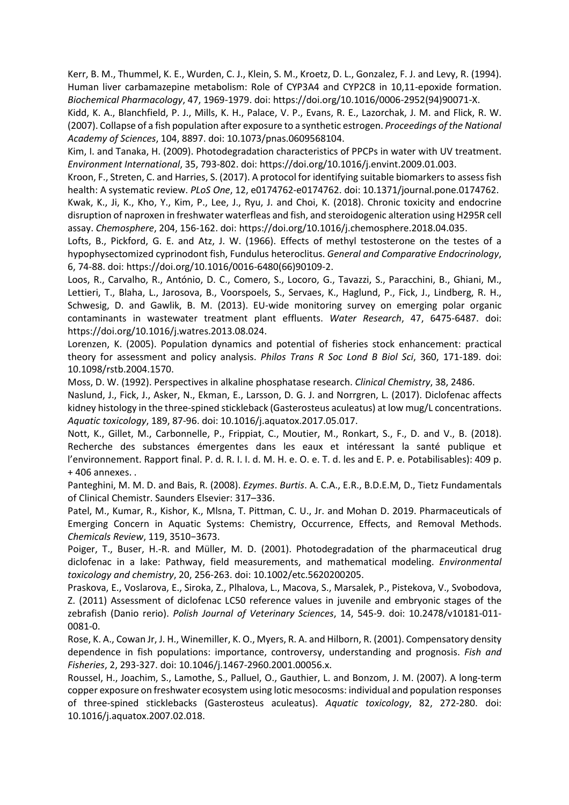Kerr, B. M., Thummel, K. E., Wurden, C. J., Klein, S. M., Kroetz, D. L., Gonzalez, F. J. and Levy, R. (1994). Human liver carbamazepine metabolism: Role of CYP3A4 and CYP2C8 in 10,11-epoxide formation. *Biochemical Pharmacology*, 47, 1969-1979. doi: https://doi.org/10.1016/0006-2952(94)90071-X.

Kidd, K. A., Blanchfield, P. J., Mills, K. H., Palace, V. P., Evans, R. E., Lazorchak, J. M. and Flick, R. W. (2007). Collapse of a fish population after exposure to a synthetic estrogen. *Proceedings of the National Academy of Sciences*, 104, 8897. doi: 10.1073/pnas.0609568104.

Kim, I. and Tanaka, H. (2009). Photodegradation characteristics of PPCPs in water with UV treatment. *Environment International*, 35, 793-802. doi: https://doi.org/10.1016/j.envint.2009.01.003.

Kroon, F., Streten, C. and Harries, S. (2017). A protocol for identifying suitable biomarkers to assess fish health: A systematic review. *PLoS One*, 12, e0174762-e0174762. doi: 10.1371/journal.pone.0174762.

Kwak, K., Ji, K., Kho, Y., Kim, P., Lee, J., Ryu, J. and Choi, K. (2018). Chronic toxicity and endocrine disruption of naproxen in freshwater waterfleas and fish, and steroidogenic alteration using H295R cell assay. *Chemosphere*, 204, 156-162. doi: https://doi.org/10.1016/j.chemosphere.2018.04.035.

Lofts, B., Pickford, G. E. and Atz, J. W. (1966). Effects of methyl testosterone on the testes of a hypophysectomized cyprinodont fish, Fundulus heteroclitus. *General and Comparative Endocrinology*, 6, 74-88. doi: https://doi.org/10.1016/0016-6480(66)90109-2.

Loos, R., Carvalho, R., António, D. C., Comero, S., Locoro, G., Tavazzi, S., Paracchini, B., Ghiani, M., Lettieri, T., Blaha, L., Jarosova, B., Voorspoels, S., Servaes, K., Haglund, P., Fick, J., Lindberg, R. H., Schwesig, D. and Gawlik, B. M. (2013). EU-wide monitoring survey on emerging polar organic contaminants in wastewater treatment plant effluents. *Water Research*, 47, 6475-6487. doi: https://doi.org/10.1016/j.watres.2013.08.024.

Lorenzen, K. (2005). Population dynamics and potential of fisheries stock enhancement: practical theory for assessment and policy analysis. *Philos Trans R Soc Lond B Biol Sci*, 360, 171-189. doi: 10.1098/rstb.2004.1570.

Moss, D. W. (1992). Perspectives in alkaline phosphatase research. *Clinical Chemistry*, 38, 2486.

Naslund, J., Fick, J., Asker, N., Ekman, E., Larsson, D. G. J. and Norrgren, L. (2017). Diclofenac affects kidney histology in the three-spined stickleback (Gasterosteus aculeatus) at low mug/L concentrations. *Aquatic toxicology*, 189, 87-96. doi: 10.1016/j.aquatox.2017.05.017.

Nott, K., Gillet, M., Carbonnelle, P., Frippiat, C., Moutier, M., Ronkart, S., F., D. and V., B. (2018). Recherche des substances émergentes dans les eaux et intéressant la santé publique et l'environnement. Rapport final. P. d. R. I. I. d. M. H. e. O. e. T. d. les and E. P. e. Potabilisables): 409 p. + 406 annexes. .

Panteghini, M. M. D. and Bais, R. (2008). *Ezymes*. *Burtis*. A. C.A., E.R., B.D.E.M, D., Tietz Fundamentals of Clinical Chemistr. Saunders Elsevier: 317–336.

Patel, M., Kumar, R., Kishor, K., Mlsna, T. Pittman, C. U., Jr. and Mohan D. 2019. Pharmaceuticals of Emerging Concern in Aquatic Systems: Chemistry, Occurrence, Effects, and Removal Methods. *Chemicals Review*, 119, 3510−3673.

Poiger, T., Buser, H.-R. and Müller, M. D. (2001). Photodegradation of the pharmaceutical drug diclofenac in a lake: Pathway, field measurements, and mathematical modeling. *Environmental toxicology and chemistry*, 20, 256-263. doi: 10.1002/etc.5620200205.

Praskova, E., Voslarova, E., Siroka, Z., Plhalova, L., Macova, S., Marsalek, P., Pistekova, V., Svobodova, Z. (2011) Assessment of diclofenac LC50 reference values in juvenile and embryonic stages of the zebrafish (Danio rerio). *Polish Journal of Veterinary Sciences*, 14, 545-9. doi: 10.2478/v10181-011- 0081-0.

Rose, K. A., Cowan Jr, J. H., Winemiller, K. O., Myers, R. A. and Hilborn, R. (2001). Compensatory density dependence in fish populations: importance, controversy, understanding and prognosis. *Fish and Fisheries*, 2, 293-327. doi: 10.1046/j.1467-2960.2001.00056.x.

Roussel, H., Joachim, S., Lamothe, S., Palluel, O., Gauthier, L. and Bonzom, J. M. (2007). A long-term copper exposure on freshwater ecosystem using lotic mesocosms: individual and population responses of three-spined sticklebacks (Gasterosteus aculeatus). *Aquatic toxicology*, 82, 272-280. doi: 10.1016/j.aquatox.2007.02.018.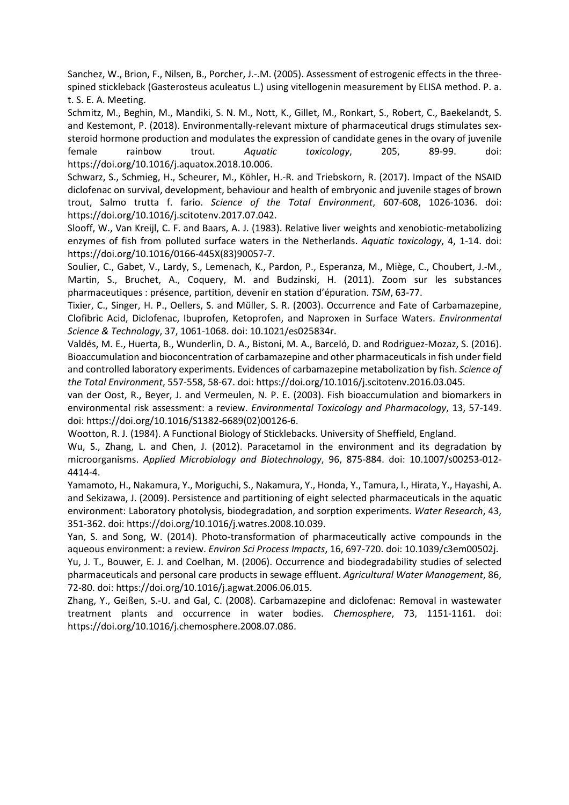Sanchez, W., Brion, F., Nilsen, B., Porcher, J.-.M. (2005). Assessment of estrogenic effects in the threespined stickleback (Gasterosteus aculeatus L.) using vitellogenin measurement by ELISA method. P. a. t. S. E. A. Meeting.

Schmitz, M., Beghin, M., Mandiki, S. N. M., Nott, K., Gillet, M., Ronkart, S., Robert, C., Baekelandt, S. and Kestemont, P. (2018). Environmentally-relevant mixture of pharmaceutical drugs stimulates sexsteroid hormone production and modulates the expression of candidate genes in the ovary of juvenile female rainbow trout. *Aquatic toxicology*, 205, 89-99. doi: https://doi.org/10.1016/j.aquatox.2018.10.006.

Schwarz, S., Schmieg, H., Scheurer, M., Köhler, H.-R. and Triebskorn, R. (2017). Impact of the NSAID diclofenac on survival, development, behaviour and health of embryonic and juvenile stages of brown trout, Salmo trutta f. fario. *Science of the Total Environment*, 607-608, 1026-1036. doi: https://doi.org/10.1016/j.scitotenv.2017.07.042.

Slooff, W., Van Kreijl, C. F. and Baars, A. J. (1983). Relative liver weights and xenobiotic-metabolizing enzymes of fish from polluted surface waters in the Netherlands. *Aquatic toxicology*, 4, 1-14. doi: https://doi.org/10.1016/0166-445X(83)90057-7.

Soulier, C., Gabet, V., Lardy, S., Lemenach, K., Pardon, P., Esperanza, M., Miège, C., Choubert, J.-M., Martin, S., Bruchet, A., Coquery, M. and Budzinski, H. (2011). Zoom sur les substances pharmaceutiques : présence, partition, devenir en station d'épuration. *TSM*, 63-77.

Tixier, C., Singer, H. P., Oellers, S. and Müller, S. R. (2003). Occurrence and Fate of Carbamazepine, Clofibric Acid, Diclofenac, Ibuprofen, Ketoprofen, and Naproxen in Surface Waters. *Environmental Science & Technology*, 37, 1061-1068. doi: 10.1021/es025834r.

Valdés, M. E., Huerta, B., Wunderlin, D. A., Bistoni, M. A., Barceló, D. and Rodriguez-Mozaz, S. (2016). Bioaccumulation and bioconcentration of carbamazepine and other pharmaceuticals in fish under field and controlled laboratory experiments. Evidences of carbamazepine metabolization by fish. *Science of the Total Environment*, 557-558, 58-67. doi: https://doi.org/10.1016/j.scitotenv.2016.03.045.

van der Oost, R., Beyer, J. and Vermeulen, N. P. E. (2003). Fish bioaccumulation and biomarkers in environmental risk assessment: a review. *Environmental Toxicology and Pharmacology*, 13, 57-149. doi: https://doi.org/10.1016/S1382-6689(02)00126-6.

Wootton, R. J. (1984). A Functional Biology of Sticklebacks. University of Sheffield, England.

Wu, S., Zhang, L. and Chen, J. (2012). Paracetamol in the environment and its degradation by microorganisms. *Applied Microbiology and Biotechnology*, 96, 875-884. doi: 10.1007/s00253-012- 4414-4.

Yamamoto, H., Nakamura, Y., Moriguchi, S., Nakamura, Y., Honda, Y., Tamura, I., Hirata, Y., Hayashi, A. and Sekizawa, J. (2009). Persistence and partitioning of eight selected pharmaceuticals in the aquatic environment: Laboratory photolysis, biodegradation, and sorption experiments. *Water Research*, 43, 351-362. doi: https://doi.org/10.1016/j.watres.2008.10.039.

Yan, S. and Song, W. (2014). Photo-transformation of pharmaceutically active compounds in the aqueous environment: a review. *Environ Sci Process Impacts*, 16, 697-720. doi: 10.1039/c3em00502j.

Yu, J. T., Bouwer, E. J. and Coelhan, M. (2006). Occurrence and biodegradability studies of selected pharmaceuticals and personal care products in sewage effluent. *Agricultural Water Management*, 86, 72-80. doi: https://doi.org/10.1016/j.agwat.2006.06.015.

Zhang, Y., Geißen, S.-U. and Gal, C. (2008). Carbamazepine and diclofenac: Removal in wastewater treatment plants and occurrence in water bodies. *Chemosphere*, 73, 1151-1161. doi: https://doi.org/10.1016/j.chemosphere.2008.07.086.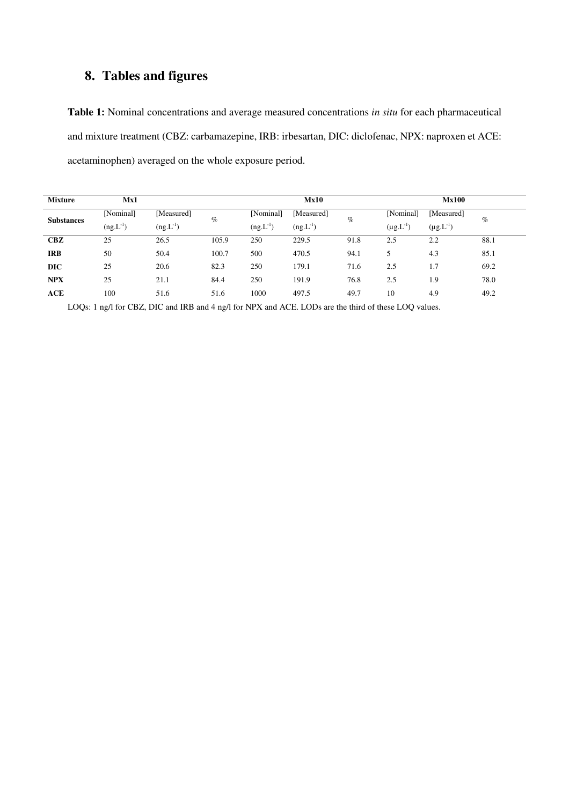## **8. Tables and figures**

**Table 1:** Nominal concentrations and average measured concentrations *in situ* for each pharmaceutical and mixture treatment (CBZ: carbamazepine, IRB: irbesartan, DIC: diclofenac, NPX: naproxen et ACE: acetaminophen) averaged on the whole exposure period.

| <b>Mixture</b>    | Mx1           |               |       |               | <b>Mx10</b>   |      |                  | <b>Mx100</b>     |      |
|-------------------|---------------|---------------|-------|---------------|---------------|------|------------------|------------------|------|
| <b>Substances</b> | [Nominal]     | [Measured]    | $\%$  | [Nominal]     | [Measured]    | $\%$ | [Nominal]        | [Measured]       | $\%$ |
|                   | $(ng.L^{-1})$ | $(ng.L^{-1})$ |       | $(ng.L^{-1})$ | $(ng.L^{-1})$ |      | $(\mu g.L^{-1})$ | $(\mu g.L^{-1})$ |      |
| $\bf CBZ$         | 25            | 26.5          | 105.9 | 250           | 229.5         | 91.8 | 2.5              | 2.2              | 88.1 |
| <b>IRB</b>        | 50            | 50.4          | 100.7 | 500           | 470.5         | 94.1 |                  | 4.3              | 85.1 |
| <b>DIC</b>        | 25            | 20.6          | 82.3  | 250           | 179.1         | 71.6 | 2.5              | 1.7              | 69.2 |
| <b>NPX</b>        | 25            | 21.1          | 84.4  | 250           | 191.9         | 76.8 | 2.5              | 1.9              | 78.0 |
| ACE               | 100           | 51.6          | 51.6  | 1000          | 497.5         | 49.7 | 10               | 4.9              | 49.2 |

LOQs: 1 ng/l for CBZ, DIC and IRB and 4 ng/l for NPX and ACE. LODs are the third of these LOQ values.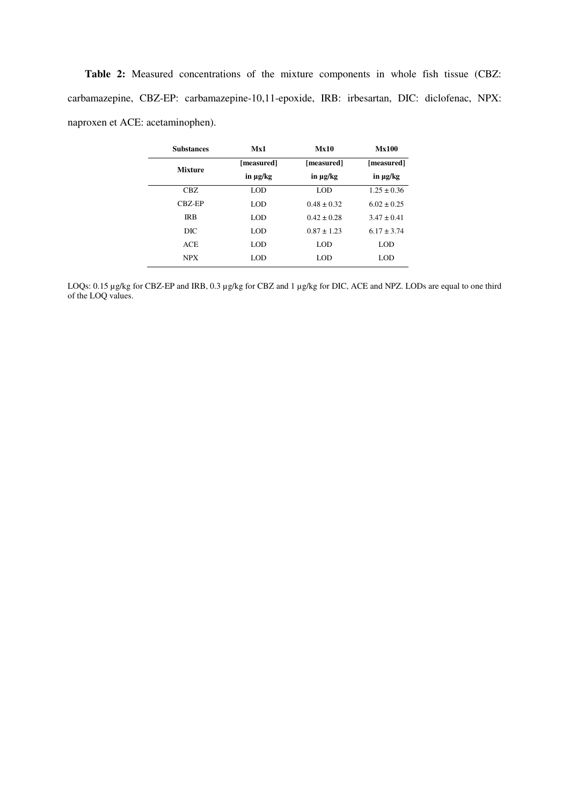**Table 2:** Measured concentrations of the mixture components in whole fish tissue (CBZ: carbamazepine, CBZ-EP: carbamazepine-10,11-epoxide, IRB: irbesartan, DIC: diclofenac, NPX: naproxen et ACE: acetaminophen).

| <b>Substances</b> | Mx1        | Mx10            | <b>Mx100</b>    |  |
|-------------------|------------|-----------------|-----------------|--|
| <b>Mixture</b>    | [measured] | [measured]      | [measured]      |  |
|                   | in µg/kg   | in µg/kg        | in µg/kg        |  |
| CBZ.              | LOD        | LOD             | $1.25 \pm 0.36$ |  |
| CBZ-EP            | LOD        | $0.48 \pm 0.32$ | $6.02 \pm 0.25$ |  |
| <b>IRB</b>        | LOD        | $0.42 \pm 0.28$ | $3.47 \pm 0.41$ |  |
| DIC               | LOD        | $0.87 \pm 1.23$ | $6.17 \pm 3.74$ |  |
| <b>ACE</b>        | LOD        | LOD             | LOD             |  |
| <b>NPX</b>        | LOD        | LOD             | LOD             |  |

LOQs: 0.15 µg/kg for CBZ-EP and IRB, 0.3 µg/kg for CBZ and 1 µg/kg for DIC, ACE and NPZ. LODs are equal to one third of the LOQ values.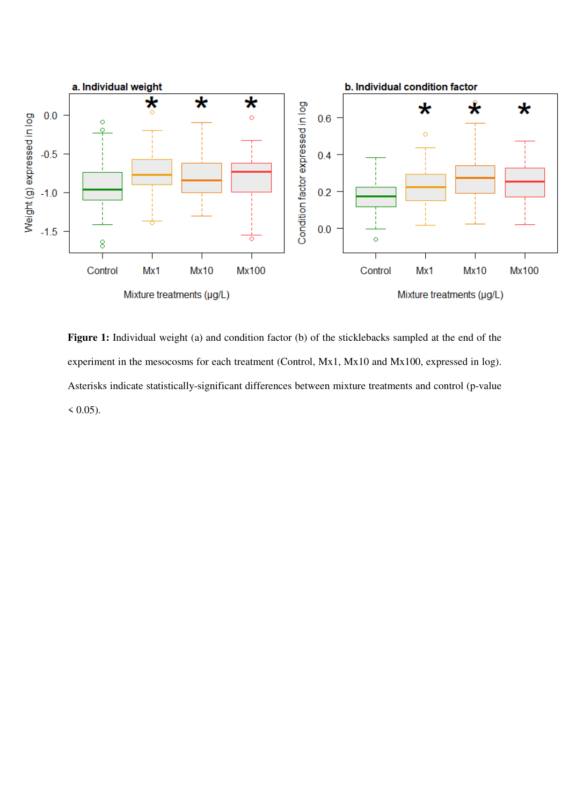

**Figure 1:** Individual weight (a) and condition factor (b) of the sticklebacks sampled at the end of the experiment in the mesocosms for each treatment (Control, Mx1, Mx10 and Mx100, expressed in log). Asterisks indicate statistically-significant differences between mixture treatments and control (p-value  $(0.05)$ .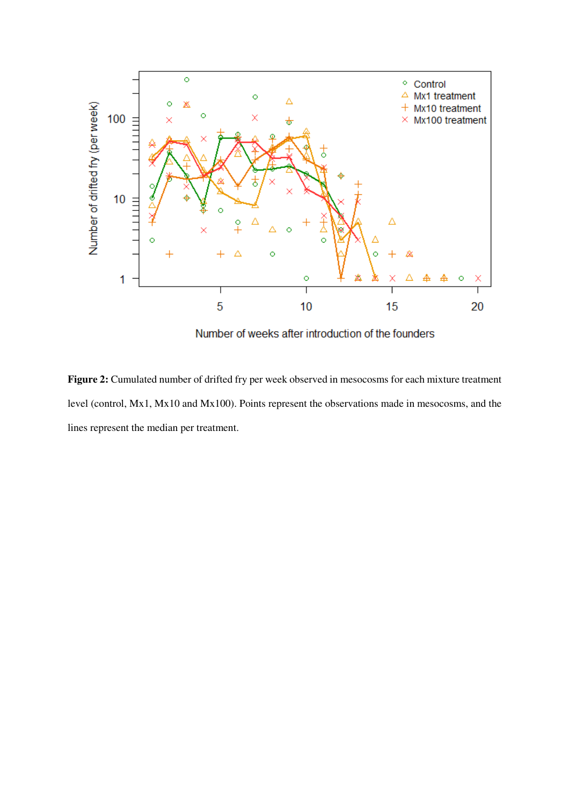

Number of weeks after introduction of the founders

**Figure 2:** Cumulated number of drifted fry per week observed in mesocosms for each mixture treatment level (control, Mx1, Mx10 and Mx100). Points represent the observations made in mesocosms, and the lines represent the median per treatment.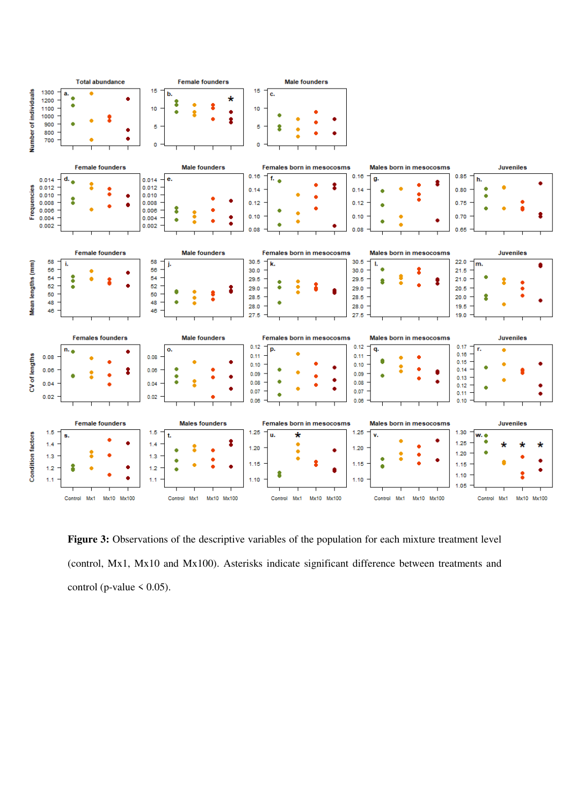

**Figure 3:** Observations of the descriptive variables of the population for each mixture treatment level (control, Mx1, Mx10 and Mx100). Asterisks indicate significant difference between treatments and control (p-value  $\leq$  0.05).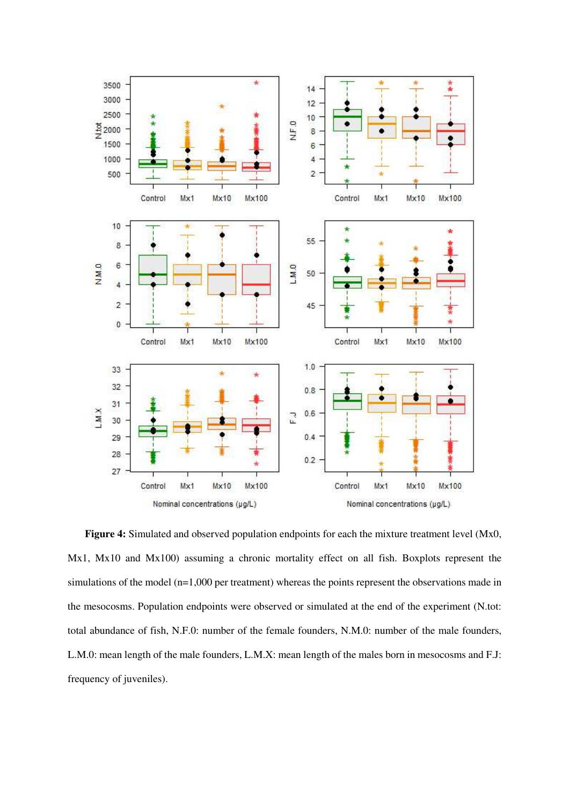

**Figure 4:** Simulated and observed population endpoints for each the mixture treatment level (Mx0, Mx1, Mx10 and Mx100) assuming a chronic mortality effect on all fish. Boxplots represent the simulations of the model (n=1,000 per treatment) whereas the points represent the observations made in the mesocosms. Population endpoints were observed or simulated at the end of the experiment (N.tot: total abundance of fish, N.F.0: number of the female founders, N.M.0: number of the male founders, L.M.0: mean length of the male founders, L.M.X: mean length of the males born in mesocosms and F.J: frequency of juveniles).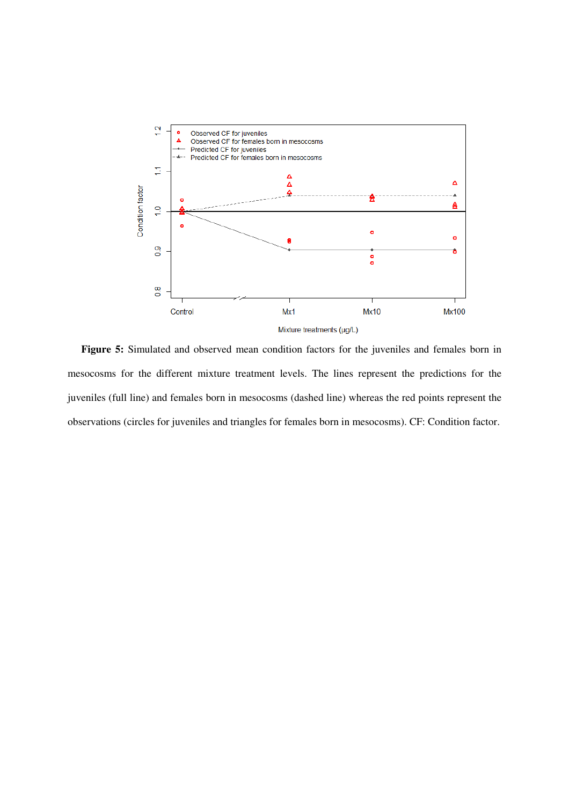

**Figure 5:** Simulated and observed mean condition factors for the juveniles and females born in mesocosms for the different mixture treatment levels. The lines represent the predictions for the juveniles (full line) and females born in mesocosms (dashed line) whereas the red points represent the observations (circles for juveniles and triangles for females born in mesocosms). CF: Condition factor.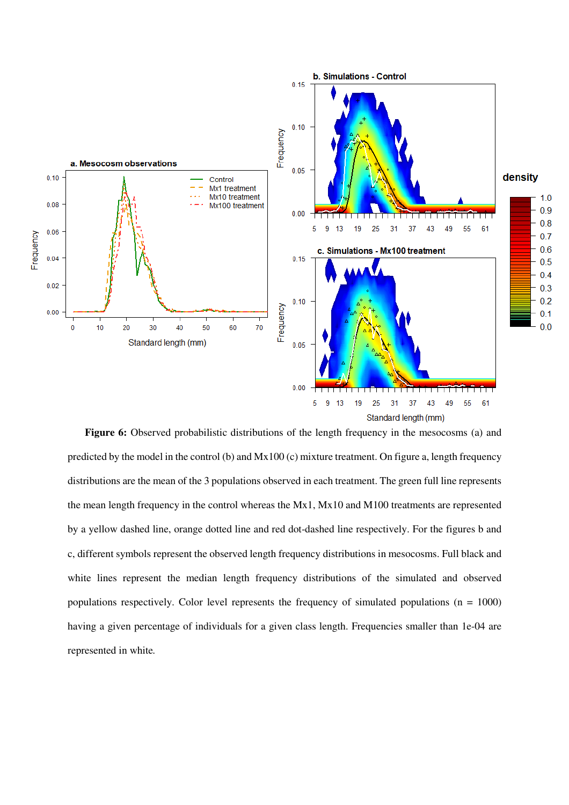

Figure 6: Observed probabilistic distributions of the length frequency in the mesocosms (a) and predicted by the model in the control (b) and Mx100 (c) mixture treatment. On figure a, length frequency distributions are the mean of the 3 populations observed in each treatment. The green full line represents the mean length frequency in the control whereas the Mx1, Mx10 and M100 treatments are represented by a yellow dashed line, orange dotted line and red dot-dashed line respectively. For the figures b and c, different symbols represent the observed length frequency distributions in mesocosms. Full black and white lines represent the median length frequency distributions of the simulated and observed populations respectively. Color level represents the frequency of simulated populations ( $n = 1000$ ) having a given percentage of individuals for a given class length. Frequencies smaller than 1e-04 are represented in white*.*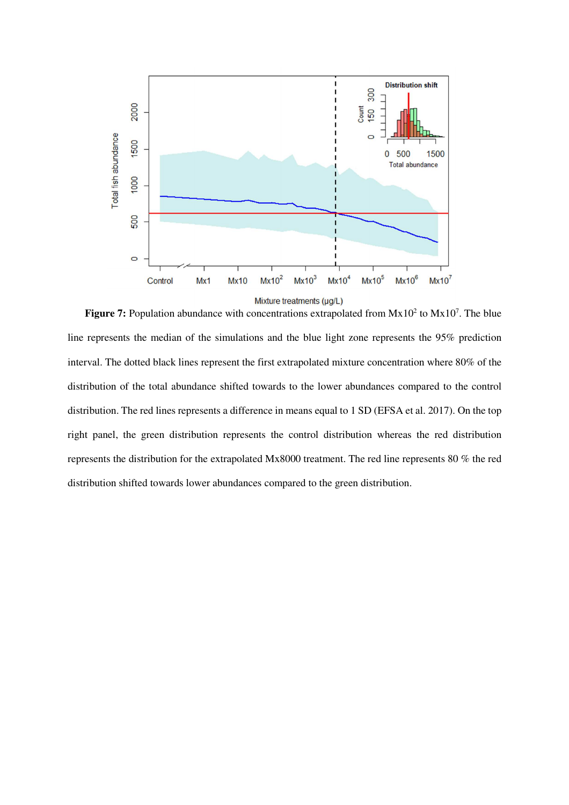

**Figure 7:** Population abundance with concentrations extrapolated from  $Mx10^2$  to  $Mx10^7$ . The blue line represents the median of the simulations and the blue light zone represents the 95% prediction interval. The dotted black lines represent the first extrapolated mixture concentration where 80% of the distribution of the total abundance shifted towards to the lower abundances compared to the control distribution. The red lines represents a difference in means equal to 1 SD (EFSA et al. 2017). On the top right panel, the green distribution represents the control distribution whereas the red distribution represents the distribution for the extrapolated Mx8000 treatment. The red line represents 80 % the red distribution shifted towards lower abundances compared to the green distribution.